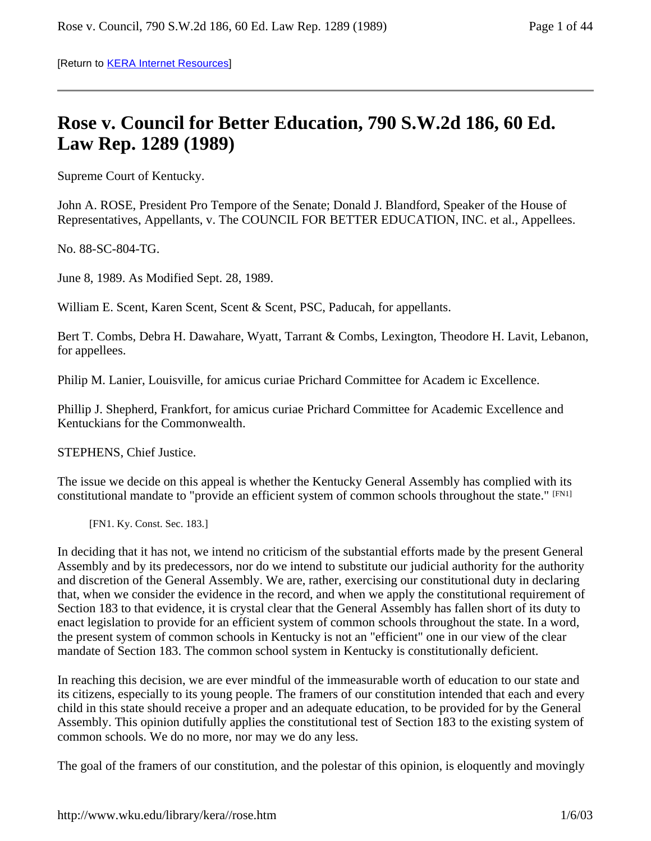[Return to **KERA Internet Resources]** 

# **Rose v. Council for Better Education, 790 S.W.2d 186, 60 Ed. Law Rep. 1289 (1989)**

Supreme Court of Kentucky.

John A. ROSE, President Pro Tempore of the Senate; Donald J. Blandford, Speaker of the House of Representatives, Appellants, v. The COUNCIL FOR BETTER EDUCATION, INC. et al., Appellees.

No. 88-SC-804-TG.

June 8, 1989. As Modified Sept. 28, 1989.

William E. Scent, Karen Scent, Scent & Scent, PSC, Paducah, for appellants.

Bert T. Combs, Debra H. Dawahare, Wyatt, Tarrant & Combs, Lexington, Theodore H. Lavit, Lebanon, for appellees.

Philip M. Lanier, Louisville, for amicus curiae Prichard Committee for Academ ic Excellence.

Phillip J. Shepherd, Frankfort, for amicus curiae Prichard Committee for Academic Excellence and Kentuckians for the Commonwealth.

STEPHENS, Chief Justice.

The issue we decide on this appeal is whether the Kentucky General Assembly has complied with its constitutional mandate to "provide an efficient system of common schools throughout the state." [FN1]

[FN1. Ky. Const. Sec. 183.]

In deciding that it has not, we intend no criticism of the substantial efforts made by the present General Assembly and by its predecessors, nor do we intend to substitute our judicial authority for the authority and discretion of the General Assembly. We are, rather, exercising our constitutional duty in declaring that, when we consider the evidence in the record, and when we apply the constitutional requirement of Section 183 to that evidence, it is crystal clear that the General Assembly has fallen short of its duty to enact legislation to provide for an efficient system of common schools throughout the state. In a word, the present system of common schools in Kentucky is not an "efficient" one in our view of the clear mandate of Section 183. The common school system in Kentucky is constitutionally deficient.

In reaching this decision, we are ever mindful of the immeasurable worth of education to our state and its citizens, especially to its young people. The framers of our constitution intended that each and every child in this state should receive a proper and an adequate education, to be provided for by the General Assembly. This opinion dutifully applies the constitutional test of Section 183 to the existing system of common schools. We do no more, nor may we do any less.

The goal of the framers of our constitution, and the polestar of this opinion, is eloquently and movingly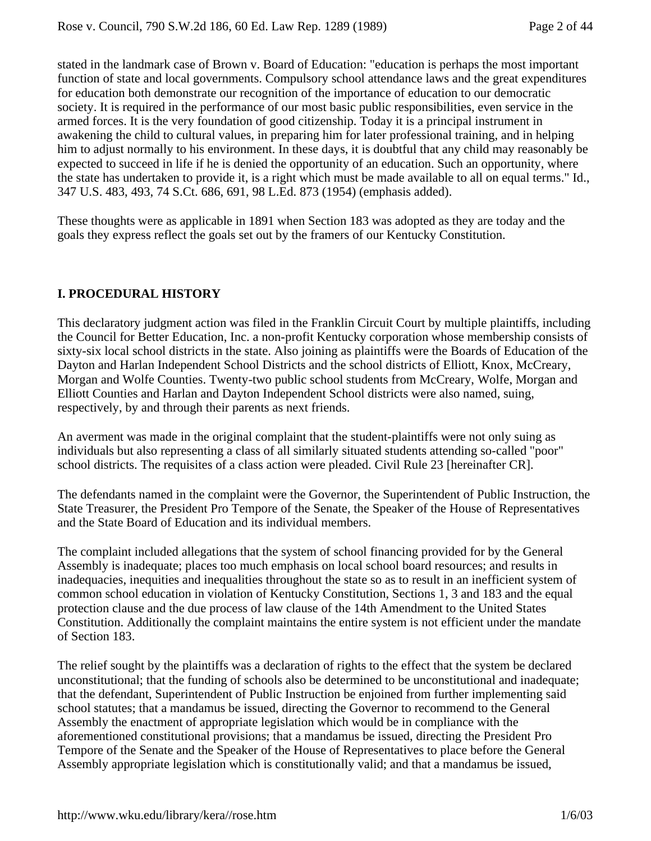stated in the landmark case of Brown v. Board of Education: "education is perhaps the most important function of state and local governments. Compulsory school attendance laws and the great expenditures for education both demonstrate our recognition of the importance of education to our democratic society. It is required in the performance of our most basic public responsibilities, even service in the armed forces. It is the very foundation of good citizenship. Today it is a principal instrument in awakening the child to cultural values, in preparing him for later professional training, and in helping him to adjust normally to his environment. In these days, it is doubtful that any child may reasonably be expected to succeed in life if he is denied the opportunity of an education. Such an opportunity, where the state has undertaken to provide it, is a right which must be made available to all on equal terms." Id., 347 U.S. 483, 493, 74 S.Ct. 686, 691, 98 L.Ed. 873 (1954) (emphasis added).

These thoughts were as applicable in 1891 when Section 183 was adopted as they are today and the goals they express reflect the goals set out by the framers of our Kentucky Constitution.

# **I. PROCEDURAL HISTORY**

This declaratory judgment action was filed in the Franklin Circuit Court by multiple plaintiffs, including the Council for Better Education, Inc. a non-profit Kentucky corporation whose membership consists of sixty-six local school districts in the state. Also joining as plaintiffs were the Boards of Education of the Dayton and Harlan Independent School Districts and the school districts of Elliott, Knox, McCreary, Morgan and Wolfe Counties. Twenty-two public school students from McCreary, Wolfe, Morgan and Elliott Counties and Harlan and Dayton Independent School districts were also named, suing, respectively, by and through their parents as next friends.

An averment was made in the original complaint that the student-plaintiffs were not only suing as individuals but also representing a class of all similarly situated students attending so-called "poor" school districts. The requisites of a class action were pleaded. Civil Rule 23 [hereinafter CR].

The defendants named in the complaint were the Governor, the Superintendent of Public Instruction, the State Treasurer, the President Pro Tempore of the Senate, the Speaker of the House of Representatives and the State Board of Education and its individual members.

The complaint included allegations that the system of school financing provided for by the General Assembly is inadequate; places too much emphasis on local school board resources; and results in inadequacies, inequities and inequalities throughout the state so as to result in an inefficient system of common school education in violation of Kentucky Constitution, Sections 1, 3 and 183 and the equal protection clause and the due process of law clause of the 14th Amendment to the United States Constitution. Additionally the complaint maintains the entire system is not efficient under the mandate of Section 183.

The relief sought by the plaintiffs was a declaration of rights to the effect that the system be declared unconstitutional; that the funding of schools also be determined to be unconstitutional and inadequate; that the defendant, Superintendent of Public Instruction be enjoined from further implementing said school statutes; that a mandamus be issued, directing the Governor to recommend to the General Assembly the enactment of appropriate legislation which would be in compliance with the aforementioned constitutional provisions; that a mandamus be issued, directing the President Pro Tempore of the Senate and the Speaker of the House of Representatives to place before the General Assembly appropriate legislation which is constitutionally valid; and that a mandamus be issued,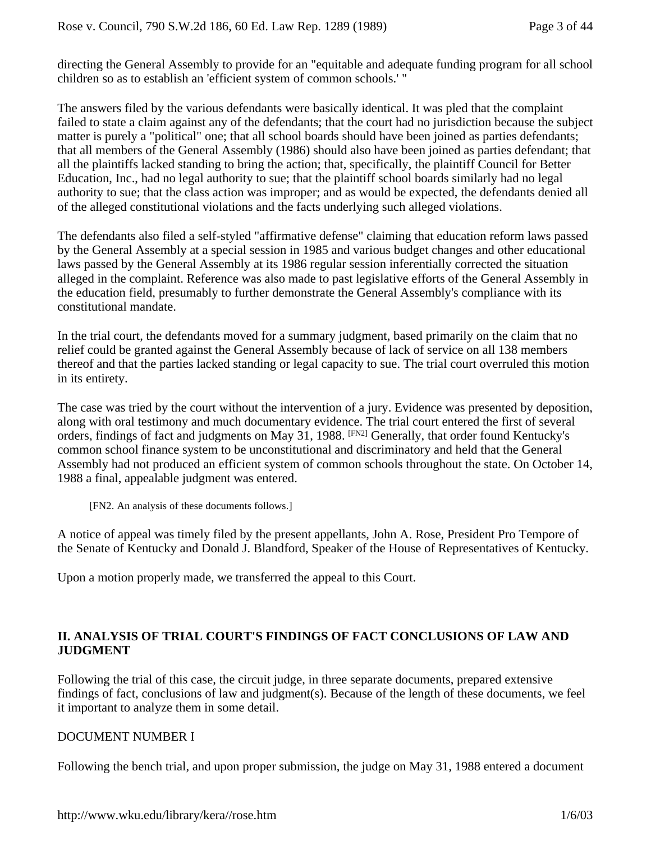directing the General Assembly to provide for an "equitable and adequate funding program for all school children so as to establish an 'efficient system of common schools.' "

The answers filed by the various defendants were basically identical. It was pled that the complaint failed to state a claim against any of the defendants; that the court had no jurisdiction because the subject matter is purely a "political" one; that all school boards should have been joined as parties defendants; that all members of the General Assembly (1986) should also have been joined as parties defendant; that all the plaintiffs lacked standing to bring the action; that, specifically, the plaintiff Council for Better Education, Inc., had no legal authority to sue; that the plaintiff school boards similarly had no legal authority to sue; that the class action was improper; and as would be expected, the defendants denied all of the alleged constitutional violations and the facts underlying such alleged violations.

The defendants also filed a self-styled "affirmative defense" claiming that education reform laws passed by the General Assembly at a special session in 1985 and various budget changes and other educational laws passed by the General Assembly at its 1986 regular session inferentially corrected the situation alleged in the complaint. Reference was also made to past legislative efforts of the General Assembly in the education field, presumably to further demonstrate the General Assembly's compliance with its constitutional mandate.

In the trial court, the defendants moved for a summary judgment, based primarily on the claim that no relief could be granted against the General Assembly because of lack of service on all 138 members thereof and that the parties lacked standing or legal capacity to sue. The trial court overruled this motion in its entirety.

The case was tried by the court without the intervention of a jury. Evidence was presented by deposition, along with oral testimony and much documentary evidence. The trial court entered the first of several orders, findings of fact and judgments on May 31, 1988. [FN2] Generally, that order found Kentucky's common school finance system to be unconstitutional and discriminatory and held that the General Assembly had not produced an efficient system of common schools throughout the state. On October 14, 1988 a final, appealable judgment was entered.

[FN2. An analysis of these documents follows.]

A notice of appeal was timely filed by the present appellants, John A. Rose, President Pro Tempore of the Senate of Kentucky and Donald J. Blandford, Speaker of the House of Representatives of Kentucky.

Upon a motion properly made, we transferred the appeal to this Court.

# **II. ANALYSIS OF TRIAL COURT'S FINDINGS OF FACT CONCLUSIONS OF LAW AND JUDGMENT**

Following the trial of this case, the circuit judge, in three separate documents, prepared extensive findings of fact, conclusions of law and judgment(s). Because of the length of these documents, we feel it important to analyze them in some detail.

## DOCUMENT NUMBER I

Following the bench trial, and upon proper submission, the judge on May 31, 1988 entered a document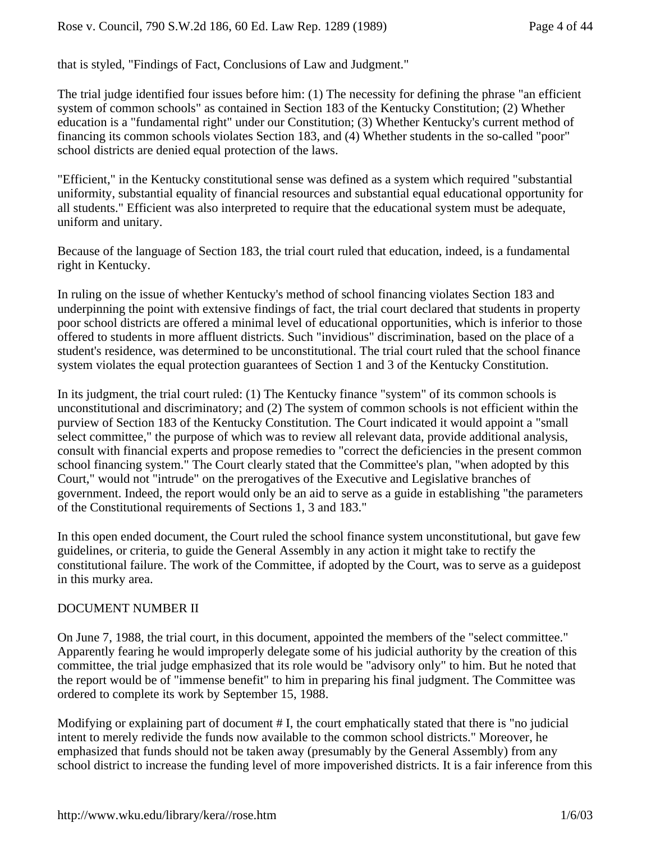that is styled, "Findings of Fact, Conclusions of Law and Judgment."

The trial judge identified four issues before him: (1) The necessity for defining the phrase "an efficient system of common schools" as contained in Section 183 of the Kentucky Constitution; (2) Whether education is a "fundamental right" under our Constitution; (3) Whether Kentucky's current method of financing its common schools violates Section 183, and (4) Whether students in the so-called "poor" school districts are denied equal protection of the laws.

"Efficient," in the Kentucky constitutional sense was defined as a system which required "substantial uniformity, substantial equality of financial resources and substantial equal educational opportunity for all students." Efficient was also interpreted to require that the educational system must be adequate, uniform and unitary.

Because of the language of Section 183, the trial court ruled that education, indeed, is a fundamental right in Kentucky.

In ruling on the issue of whether Kentucky's method of school financing violates Section 183 and underpinning the point with extensive findings of fact, the trial court declared that students in property poor school districts are offered a minimal level of educational opportunities, which is inferior to those offered to students in more affluent districts. Such "invidious" discrimination, based on the place of a student's residence, was determined to be unconstitutional. The trial court ruled that the school finance system violates the equal protection guarantees of Section 1 and 3 of the Kentucky Constitution.

In its judgment, the trial court ruled: (1) The Kentucky finance "system" of its common schools is unconstitutional and discriminatory; and (2) The system of common schools is not efficient within the purview of Section 183 of the Kentucky Constitution. The Court indicated it would appoint a "small select committee," the purpose of which was to review all relevant data, provide additional analysis, consult with financial experts and propose remedies to "correct the deficiencies in the present common school financing system." The Court clearly stated that the Committee's plan, "when adopted by this Court," would not "intrude" on the prerogatives of the Executive and Legislative branches of government. Indeed, the report would only be an aid to serve as a guide in establishing "the parameters of the Constitutional requirements of Sections 1, 3 and 183."

In this open ended document, the Court ruled the school finance system unconstitutional, but gave few guidelines, or criteria, to guide the General Assembly in any action it might take to rectify the constitutional failure. The work of the Committee, if adopted by the Court, was to serve as a guidepost in this murky area.

## DOCUMENT NUMBER II

On June 7, 1988, the trial court, in this document, appointed the members of the "select committee." Apparently fearing he would improperly delegate some of his judicial authority by the creation of this committee, the trial judge emphasized that its role would be "advisory only" to him. But he noted that the report would be of "immense benefit" to him in preparing his final judgment. The Committee was ordered to complete its work by September 15, 1988.

Modifying or explaining part of document # I, the court emphatically stated that there is "no judicial intent to merely redivide the funds now available to the common school districts." Moreover, he emphasized that funds should not be taken away (presumably by the General Assembly) from any school district to increase the funding level of more impoverished districts. It is a fair inference from this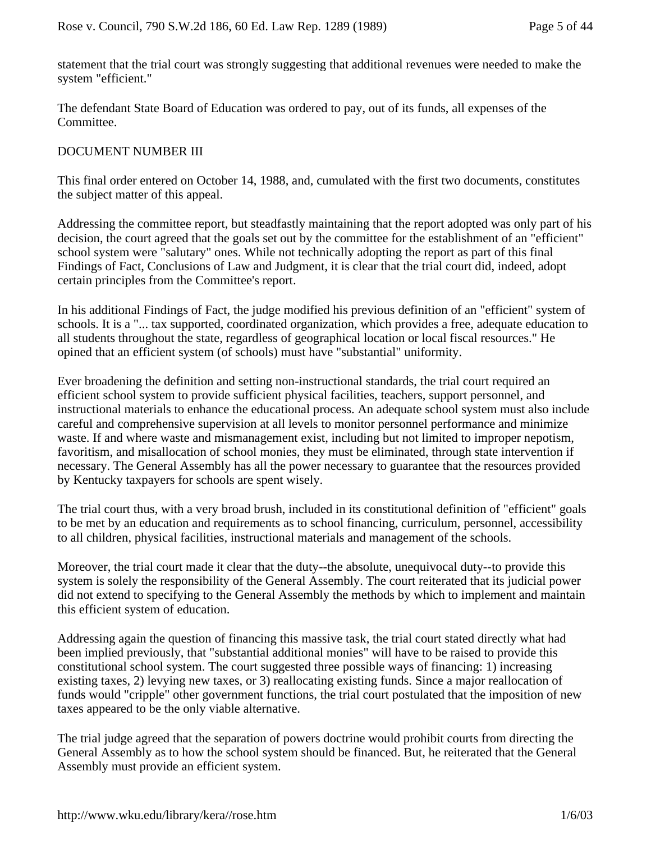statement that the trial court was strongly suggesting that additional revenues were needed to make the system "efficient."

The defendant State Board of Education was ordered to pay, out of its funds, all expenses of the Committee.

## DOCUMENT NUMBER III

This final order entered on October 14, 1988, and, cumulated with the first two documents, constitutes the subject matter of this appeal.

Addressing the committee report, but steadfastly maintaining that the report adopted was only part of his decision, the court agreed that the goals set out by the committee for the establishment of an "efficient" school system were "salutary" ones. While not technically adopting the report as part of this final Findings of Fact, Conclusions of Law and Judgment, it is clear that the trial court did, indeed, adopt certain principles from the Committee's report.

In his additional Findings of Fact, the judge modified his previous definition of an "efficient" system of schools. It is a "... tax supported, coordinated organization, which provides a free, adequate education to all students throughout the state, regardless of geographical location or local fiscal resources." He opined that an efficient system (of schools) must have "substantial" uniformity.

Ever broadening the definition and setting non-instructional standards, the trial court required an efficient school system to provide sufficient physical facilities, teachers, support personnel, and instructional materials to enhance the educational process. An adequate school system must also include careful and comprehensive supervision at all levels to monitor personnel performance and minimize waste. If and where waste and mismanagement exist, including but not limited to improper nepotism, favoritism, and misallocation of school monies, they must be eliminated, through state intervention if necessary. The General Assembly has all the power necessary to guarantee that the resources provided by Kentucky taxpayers for schools are spent wisely.

The trial court thus, with a very broad brush, included in its constitutional definition of "efficient" goals to be met by an education and requirements as to school financing, curriculum, personnel, accessibility to all children, physical facilities, instructional materials and management of the schools.

Moreover, the trial court made it clear that the duty--the absolute, unequivocal duty--to provide this system is solely the responsibility of the General Assembly. The court reiterated that its judicial power did not extend to specifying to the General Assembly the methods by which to implement and maintain this efficient system of education.

Addressing again the question of financing this massive task, the trial court stated directly what had been implied previously, that "substantial additional monies" will have to be raised to provide this constitutional school system. The court suggested three possible ways of financing: 1) increasing existing taxes, 2) levying new taxes, or 3) reallocating existing funds. Since a major reallocation of funds would "cripple" other government functions, the trial court postulated that the imposition of new taxes appeared to be the only viable alternative.

The trial judge agreed that the separation of powers doctrine would prohibit courts from directing the General Assembly as to how the school system should be financed. But, he reiterated that the General Assembly must provide an efficient system.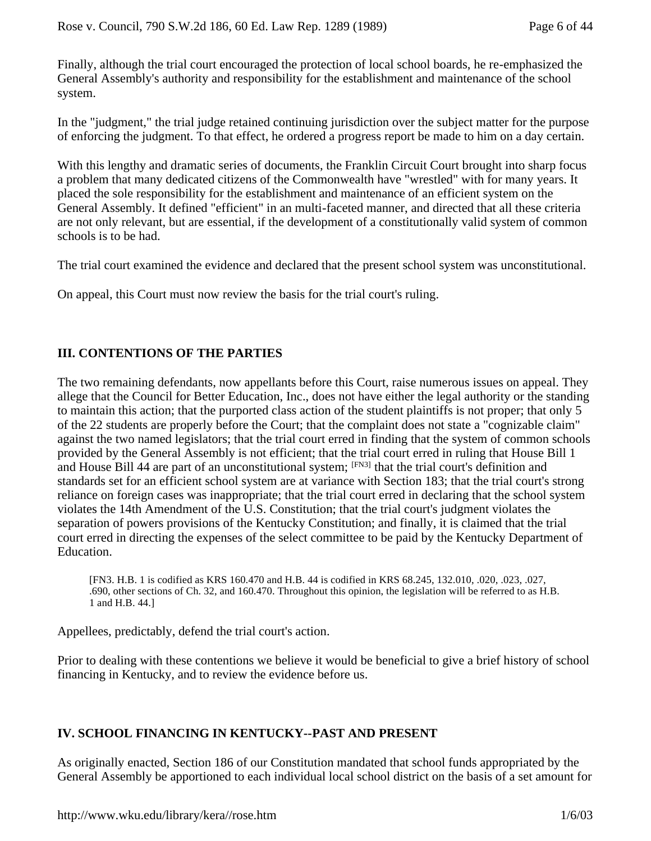Finally, although the trial court encouraged the protection of local school boards, he re-emphasized the General Assembly's authority and responsibility for the establishment and maintenance of the school system.

In the "judgment," the trial judge retained continuing jurisdiction over the subject matter for the purpose of enforcing the judgment. To that effect, he ordered a progress report be made to him on a day certain.

With this lengthy and dramatic series of documents, the Franklin Circuit Court brought into sharp focus a problem that many dedicated citizens of the Commonwealth have "wrestled" with for many years. It placed the sole responsibility for the establishment and maintenance of an efficient system on the General Assembly. It defined "efficient" in an multi-faceted manner, and directed that all these criteria are not only relevant, but are essential, if the development of a constitutionally valid system of common schools is to be had.

The trial court examined the evidence and declared that the present school system was unconstitutional.

On appeal, this Court must now review the basis for the trial court's ruling.

# **III. CONTENTIONS OF THE PARTIES**

The two remaining defendants, now appellants before this Court, raise numerous issues on appeal. They allege that the Council for Better Education, Inc., does not have either the legal authority or the standing to maintain this action; that the purported class action of the student plaintiffs is not proper; that only 5 of the 22 students are properly before the Court; that the complaint does not state a "cognizable claim" against the two named legislators; that the trial court erred in finding that the system of common schools provided by the General Assembly is not efficient; that the trial court erred in ruling that House Bill 1 and House Bill 44 are part of an unconstitutional system; [FN3] that the trial court's definition and standards set for an efficient school system are at variance with Section 183; that the trial court's strong reliance on foreign cases was inappropriate; that the trial court erred in declaring that the school system violates the 14th Amendment of the U.S. Constitution; that the trial court's judgment violates the separation of powers provisions of the Kentucky Constitution; and finally, it is claimed that the trial court erred in directing the expenses of the select committee to be paid by the Kentucky Department of Education.

[FN3. H.B. 1 is codified as KRS 160.470 and H.B. 44 is codified in KRS 68.245, 132.010, .020, .023, .027, .690, other sections of Ch. 32, and 160.470. Throughout this opinion, the legislation will be referred to as H.B. 1 and H.B. 44.]

Appellees, predictably, defend the trial court's action.

Prior to dealing with these contentions we believe it would be beneficial to give a brief history of school financing in Kentucky, and to review the evidence before us.

## **IV. SCHOOL FINANCING IN KENTUCKY--PAST AND PRESENT**

As originally enacted, Section 186 of our Constitution mandated that school funds appropriated by the General Assembly be apportioned to each individual local school district on the basis of a set amount for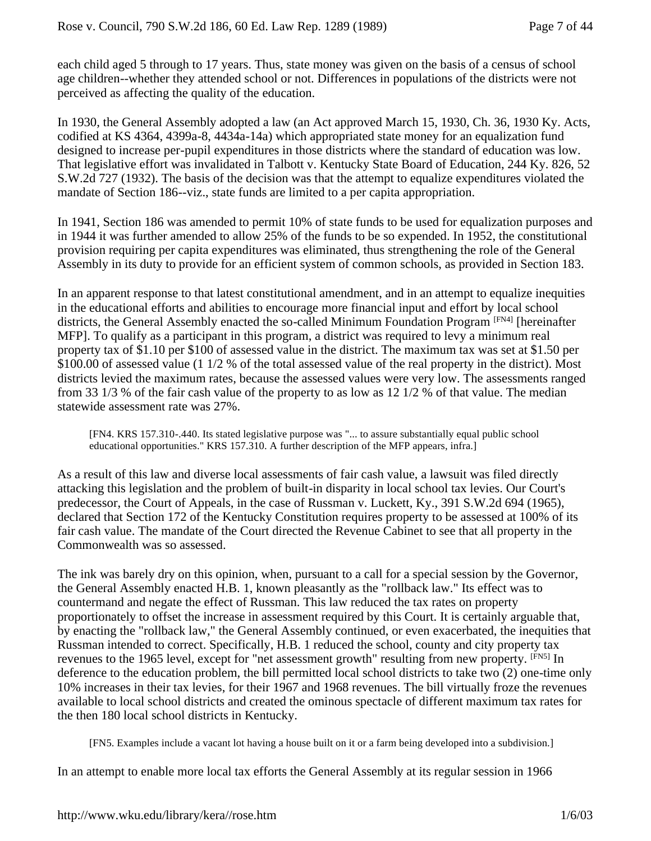each child aged 5 through to 17 years. Thus, state money was given on the basis of a census of school age children--whether they attended school or not. Differences in populations of the districts were not perceived as affecting the quality of the education.

In 1930, the General Assembly adopted a law (an Act approved March 15, 1930, Ch. 36, 1930 Ky. Acts, codified at KS 4364, 4399a-8, 4434a-14a) which appropriated state money for an equalization fund designed to increase per-pupil expenditures in those districts where the standard of education was low. That legislative effort was invalidated in Talbott v. Kentucky State Board of Education, 244 Ky. 826, 52 S.W.2d 727 (1932). The basis of the decision was that the attempt to equalize expenditures violated the mandate of Section 186--viz., state funds are limited to a per capita appropriation.

In 1941, Section 186 was amended to permit 10% of state funds to be used for equalization purposes and in 1944 it was further amended to allow 25% of the funds to be so expended. In 1952, the constitutional provision requiring per capita expenditures was eliminated, thus strengthening the role of the General Assembly in its duty to provide for an efficient system of common schools, as provided in Section 183.

In an apparent response to that latest constitutional amendment, and in an attempt to equalize inequities in the educational efforts and abilities to encourage more financial input and effort by local school districts, the General Assembly enacted the so-called Minimum Foundation Program [FN4] [hereinafter MFP]. To qualify as a participant in this program, a district was required to levy a minimum real property tax of \$1.10 per \$100 of assessed value in the district. The maximum tax was set at \$1.50 per \$100.00 of assessed value (1 1/2 % of the total assessed value of the real property in the district). Most districts levied the maximum rates, because the assessed values were very low. The assessments ranged from 33 1/3 % of the fair cash value of the property to as low as 12 1/2 % of that value. The median statewide assessment rate was 27%.

[FN4. KRS 157.310-.440. Its stated legislative purpose was "... to assure substantially equal public school educational opportunities." KRS 157.310. A further description of the MFP appears, infra.]

As a result of this law and diverse local assessments of fair cash value, a lawsuit was filed directly attacking this legislation and the problem of built-in disparity in local school tax levies. Our Court's predecessor, the Court of Appeals, in the case of Russman v. Luckett, Ky., 391 S.W.2d 694 (1965), declared that Section 172 of the Kentucky Constitution requires property to be assessed at 100% of its fair cash value. The mandate of the Court directed the Revenue Cabinet to see that all property in the Commonwealth was so assessed.

The ink was barely dry on this opinion, when, pursuant to a call for a special session by the Governor, the General Assembly enacted H.B. 1, known pleasantly as the "rollback law." Its effect was to countermand and negate the effect of Russman. This law reduced the tax rates on property proportionately to offset the increase in assessment required by this Court. It is certainly arguable that, by enacting the "rollback law," the General Assembly continued, or even exacerbated, the inequities that Russman intended to correct. Specifically, H.B. 1 reduced the school, county and city property tax revenues to the 1965 level, except for "net assessment growth" resulting from new property. [FN5] In deference to the education problem, the bill permitted local school districts to take two (2) one-time only 10% increases in their tax levies, for their 1967 and 1968 revenues. The bill virtually froze the revenues available to local school districts and created the ominous spectacle of different maximum tax rates for the then 180 local school districts in Kentucky.

[FN5. Examples include a vacant lot having a house built on it or a farm being developed into a subdivision.]

In an attempt to enable more local tax efforts the General Assembly at its regular session in 1966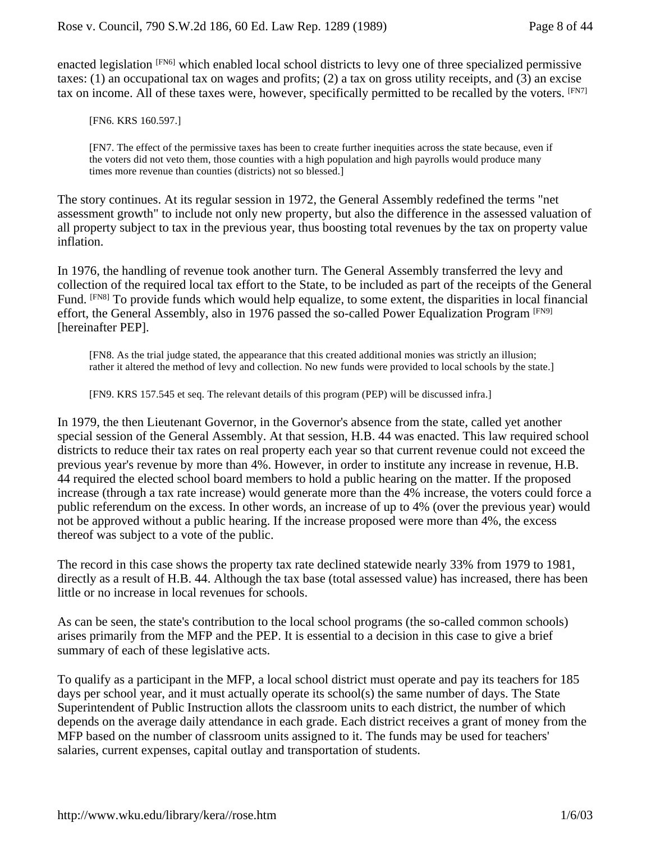enacted legislation [FN6] which enabled local school districts to levy one of three specialized permissive taxes: (1) an occupational tax on wages and profits; (2) a tax on gross utility receipts, and (3) an excise tax on income. All of these taxes were, however, specifically permitted to be recalled by the voters. [FN7]

[FN6. KRS 160.597.]

[FN7. The effect of the permissive taxes has been to create further inequities across the state because, even if the voters did not veto them, those counties with a high population and high payrolls would produce many times more revenue than counties (districts) not so blessed.]

The story continues. At its regular session in 1972, the General Assembly redefined the terms "net assessment growth" to include not only new property, but also the difference in the assessed valuation of all property subject to tax in the previous year, thus boosting total revenues by the tax on property value inflation.

In 1976, the handling of revenue took another turn. The General Assembly transferred the levy and collection of the required local tax effort to the State, to be included as part of the receipts of the General Fund. [FN8] To provide funds which would help equalize, to some extent, the disparities in local financial effort, the General Assembly, also in 1976 passed the so-called Power Equalization Program [FN9] [hereinafter PEP].

[FN8. As the trial judge stated, the appearance that this created additional monies was strictly an illusion; rather it altered the method of levy and collection. No new funds were provided to local schools by the state.]

[FN9. KRS 157.545 et seq. The relevant details of this program (PEP) will be discussed infra.]

In 1979, the then Lieutenant Governor, in the Governor's absence from the state, called yet another special session of the General Assembly. At that session, H.B. 44 was enacted. This law required school districts to reduce their tax rates on real property each year so that current revenue could not exceed the previous year's revenue by more than 4%. However, in order to institute any increase in revenue, H.B. 44 required the elected school board members to hold a public hearing on the matter. If the proposed increase (through a tax rate increase) would generate more than the 4% increase, the voters could force a public referendum on the excess. In other words, an increase of up to 4% (over the previous year) would not be approved without a public hearing. If the increase proposed were more than 4%, the excess thereof was subject to a vote of the public.

The record in this case shows the property tax rate declined statewide nearly 33% from 1979 to 1981, directly as a result of H.B. 44. Although the tax base (total assessed value) has increased, there has been little or no increase in local revenues for schools.

As can be seen, the state's contribution to the local school programs (the so-called common schools) arises primarily from the MFP and the PEP. It is essential to a decision in this case to give a brief summary of each of these legislative acts.

To qualify as a participant in the MFP, a local school district must operate and pay its teachers for 185 days per school year, and it must actually operate its school(s) the same number of days. The State Superintendent of Public Instruction allots the classroom units to each district, the number of which depends on the average daily attendance in each grade. Each district receives a grant of money from the MFP based on the number of classroom units assigned to it. The funds may be used for teachers' salaries, current expenses, capital outlay and transportation of students.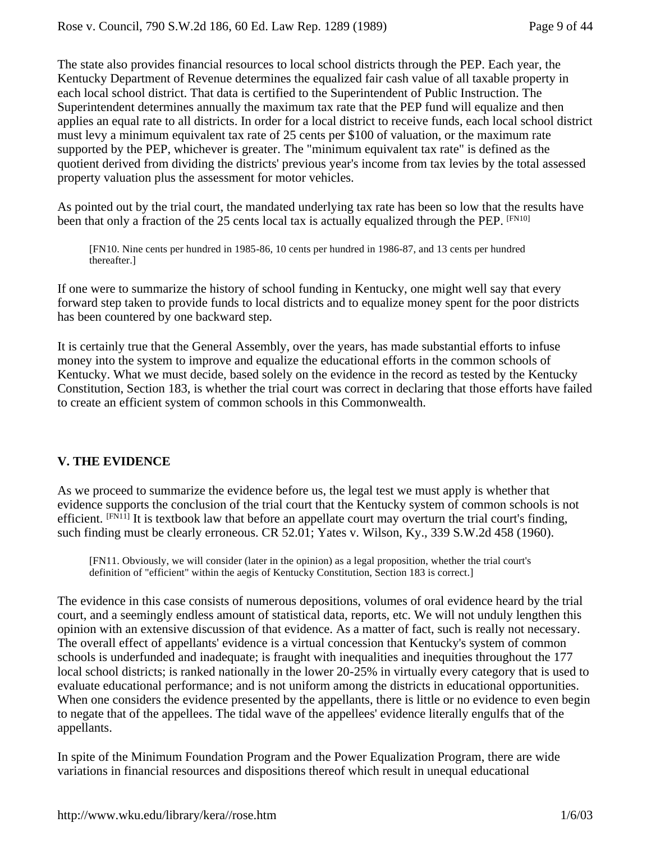The state also provides financial resources to local school districts through the PEP. Each year, the Kentucky Department of Revenue determines the equalized fair cash value of all taxable property in each local school district. That data is certified to the Superintendent of Public Instruction. The Superintendent determines annually the maximum tax rate that the PEP fund will equalize and then applies an equal rate to all districts. In order for a local district to receive funds, each local school district must levy a minimum equivalent tax rate of 25 cents per \$100 of valuation, or the maximum rate supported by the PEP, whichever is greater. The "minimum equivalent tax rate" is defined as the quotient derived from dividing the districts' previous year's income from tax levies by the total assessed property valuation plus the assessment for motor vehicles.

As pointed out by the trial court, the mandated underlying tax rate has been so low that the results have been that only a fraction of the 25 cents local tax is actually equalized through the PEP. [FN10]

[FN10. Nine cents per hundred in 1985-86, 10 cents per hundred in 1986-87, and 13 cents per hundred thereafter.]

If one were to summarize the history of school funding in Kentucky, one might well say that every forward step taken to provide funds to local districts and to equalize money spent for the poor districts has been countered by one backward step.

It is certainly true that the General Assembly, over the years, has made substantial efforts to infuse money into the system to improve and equalize the educational efforts in the common schools of Kentucky. What we must decide, based solely on the evidence in the record as tested by the Kentucky Constitution, Section 183, is whether the trial court was correct in declaring that those efforts have failed to create an efficient system of common schools in this Commonwealth.

# **V. THE EVIDENCE**

As we proceed to summarize the evidence before us, the legal test we must apply is whether that evidence supports the conclusion of the trial court that the Kentucky system of common schools is not efficient. [FN11] It is textbook law that before an appellate court may overturn the trial court's finding, such finding must be clearly erroneous. CR 52.01; Yates v. Wilson, Ky., 339 S.W.2d 458 (1960).

[FN11. Obviously, we will consider (later in the opinion) as a legal proposition, whether the trial court's definition of "efficient" within the aegis of Kentucky Constitution, Section 183 is correct.]

The evidence in this case consists of numerous depositions, volumes of oral evidence heard by the trial court, and a seemingly endless amount of statistical data, reports, etc. We will not unduly lengthen this opinion with an extensive discussion of that evidence. As a matter of fact, such is really not necessary. The overall effect of appellants' evidence is a virtual concession that Kentucky's system of common schools is underfunded and inadequate; is fraught with inequalities and inequities throughout the 177 local school districts; is ranked nationally in the lower 20-25% in virtually every category that is used to evaluate educational performance; and is not uniform among the districts in educational opportunities. When one considers the evidence presented by the appellants, there is little or no evidence to even begin to negate that of the appellees. The tidal wave of the appellees' evidence literally engulfs that of the appellants.

In spite of the Minimum Foundation Program and the Power Equalization Program, there are wide variations in financial resources and dispositions thereof which result in unequal educational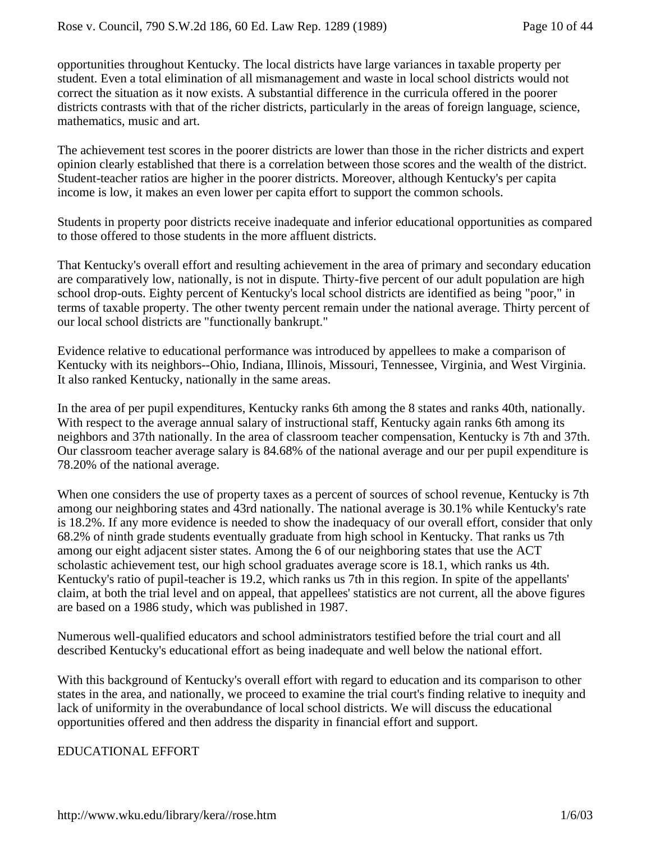opportunities throughout Kentucky. The local districts have large variances in taxable property per student. Even a total elimination of all mismanagement and waste in local school districts would not correct the situation as it now exists. A substantial difference in the curricula offered in the poorer districts contrasts with that of the richer districts, particularly in the areas of foreign language, science, mathematics, music and art.

The achievement test scores in the poorer districts are lower than those in the richer districts and expert opinion clearly established that there is a correlation between those scores and the wealth of the district. Student-teacher ratios are higher in the poorer districts. Moreover, although Kentucky's per capita income is low, it makes an even lower per capita effort to support the common schools.

Students in property poor districts receive inadequate and inferior educational opportunities as compared to those offered to those students in the more affluent districts.

That Kentucky's overall effort and resulting achievement in the area of primary and secondary education are comparatively low, nationally, is not in dispute. Thirty-five percent of our adult population are high school drop-outs. Eighty percent of Kentucky's local school districts are identified as being "poor," in terms of taxable property. The other twenty percent remain under the national average. Thirty percent of our local school districts are "functionally bankrupt."

Evidence relative to educational performance was introduced by appellees to make a comparison of Kentucky with its neighbors--Ohio, Indiana, Illinois, Missouri, Tennessee, Virginia, and West Virginia. It also ranked Kentucky, nationally in the same areas.

In the area of per pupil expenditures, Kentucky ranks 6th among the 8 states and ranks 40th, nationally. With respect to the average annual salary of instructional staff, Kentucky again ranks 6th among its neighbors and 37th nationally. In the area of classroom teacher compensation, Kentucky is 7th and 37th. Our classroom teacher average salary is 84.68% of the national average and our per pupil expenditure is 78.20% of the national average.

When one considers the use of property taxes as a percent of sources of school revenue, Kentucky is 7th among our neighboring states and 43rd nationally. The national average is 30.1% while Kentucky's rate is 18.2%. If any more evidence is needed to show the inadequacy of our overall effort, consider that only 68.2% of ninth grade students eventually graduate from high school in Kentucky. That ranks us 7th among our eight adjacent sister states. Among the 6 of our neighboring states that use the ACT scholastic achievement test, our high school graduates average score is 18.1, which ranks us 4th. Kentucky's ratio of pupil-teacher is 19.2, which ranks us 7th in this region. In spite of the appellants' claim, at both the trial level and on appeal, that appellees' statistics are not current, all the above figures are based on a 1986 study, which was published in 1987.

Numerous well-qualified educators and school administrators testified before the trial court and all described Kentucky's educational effort as being inadequate and well below the national effort.

With this background of Kentucky's overall effort with regard to education and its comparison to other states in the area, and nationally, we proceed to examine the trial court's finding relative to inequity and lack of uniformity in the overabundance of local school districts. We will discuss the educational opportunities offered and then address the disparity in financial effort and support.

## EDUCATIONAL EFFORT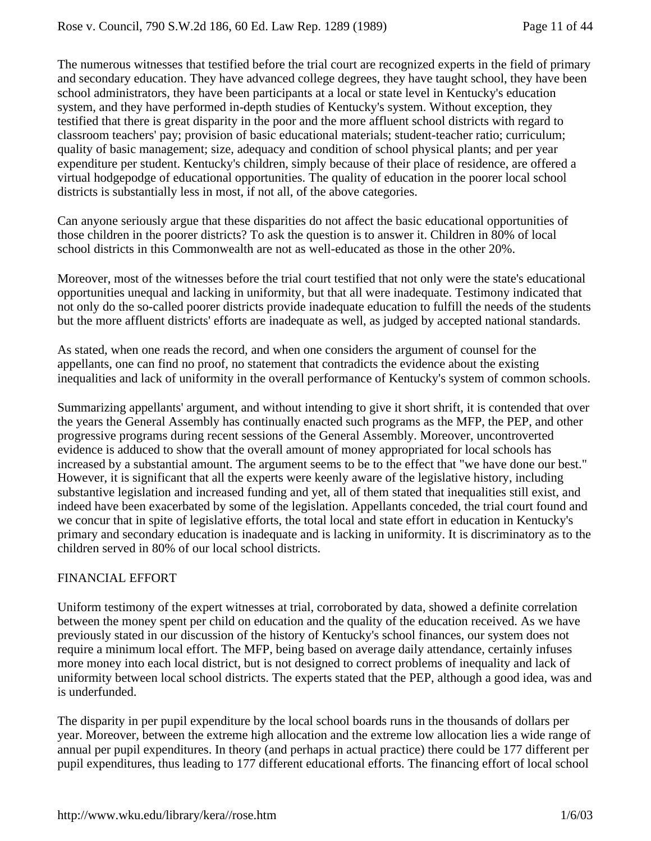The numerous witnesses that testified before the trial court are recognized experts in the field of primary and secondary education. They have advanced college degrees, they have taught school, they have been school administrators, they have been participants at a local or state level in Kentucky's education system, and they have performed in-depth studies of Kentucky's system. Without exception, they testified that there is great disparity in the poor and the more affluent school districts with regard to classroom teachers' pay; provision of basic educational materials; student-teacher ratio; curriculum; quality of basic management; size, adequacy and condition of school physical plants; and per year expenditure per student. Kentucky's children, simply because of their place of residence, are offered a virtual hodgepodge of educational opportunities. The quality of education in the poorer local school districts is substantially less in most, if not all, of the above categories.

Can anyone seriously argue that these disparities do not affect the basic educational opportunities of those children in the poorer districts? To ask the question is to answer it. Children in 80% of local school districts in this Commonwealth are not as well-educated as those in the other 20%.

Moreover, most of the witnesses before the trial court testified that not only were the state's educational opportunities unequal and lacking in uniformity, but that all were inadequate. Testimony indicated that not only do the so-called poorer districts provide inadequate education to fulfill the needs of the students but the more affluent districts' efforts are inadequate as well, as judged by accepted national standards.

As stated, when one reads the record, and when one considers the argument of counsel for the appellants, one can find no proof, no statement that contradicts the evidence about the existing inequalities and lack of uniformity in the overall performance of Kentucky's system of common schools.

Summarizing appellants' argument, and without intending to give it short shrift, it is contended that over the years the General Assembly has continually enacted such programs as the MFP, the PEP, and other progressive programs during recent sessions of the General Assembly. Moreover, uncontroverted evidence is adduced to show that the overall amount of money appropriated for local schools has increased by a substantial amount. The argument seems to be to the effect that "we have done our best." However, it is significant that all the experts were keenly aware of the legislative history, including substantive legislation and increased funding and yet, all of them stated that inequalities still exist, and indeed have been exacerbated by some of the legislation. Appellants conceded, the trial court found and we concur that in spite of legislative efforts, the total local and state effort in education in Kentucky's primary and secondary education is inadequate and is lacking in uniformity. It is discriminatory as to the children served in 80% of our local school districts.

## FINANCIAL EFFORT

Uniform testimony of the expert witnesses at trial, corroborated by data, showed a definite correlation between the money spent per child on education and the quality of the education received. As we have previously stated in our discussion of the history of Kentucky's school finances, our system does not require a minimum local effort. The MFP, being based on average daily attendance, certainly infuses more money into each local district, but is not designed to correct problems of inequality and lack of uniformity between local school districts. The experts stated that the PEP, although a good idea, was and is underfunded.

The disparity in per pupil expenditure by the local school boards runs in the thousands of dollars per year. Moreover, between the extreme high allocation and the extreme low allocation lies a wide range of annual per pupil expenditures. In theory (and perhaps in actual practice) there could be 177 different per pupil expenditures, thus leading to 177 different educational efforts. The financing effort of local school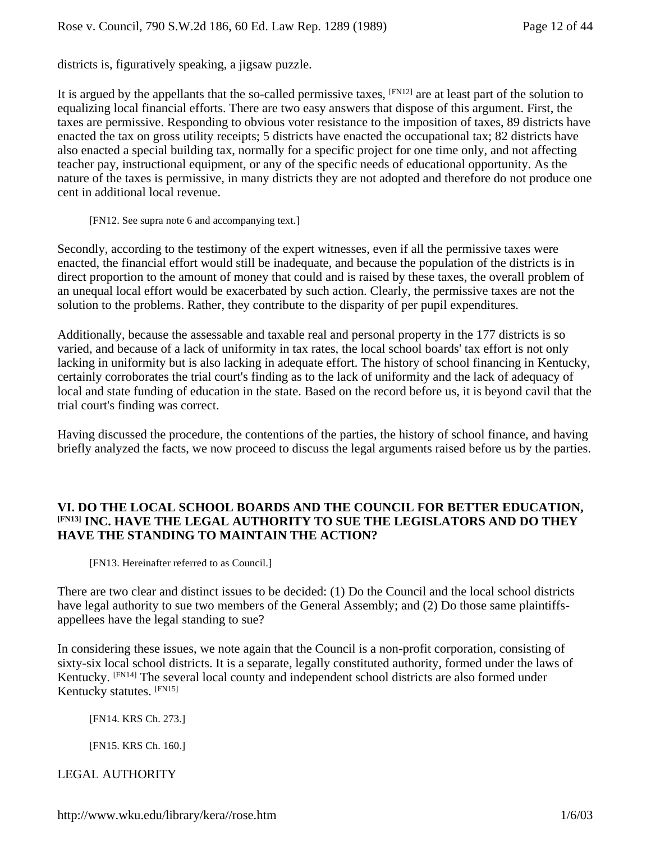districts is, figuratively speaking, a jigsaw puzzle.

It is argued by the appellants that the so-called permissive taxes, [FN12] are at least part of the solution to equalizing local financial efforts. There are two easy answers that dispose of this argument. First, the taxes are permissive. Responding to obvious voter resistance to the imposition of taxes, 89 districts have enacted the tax on gross utility receipts; 5 districts have enacted the occupational tax; 82 districts have also enacted a special building tax, normally for a specific project for one time only, and not affecting teacher pay, instructional equipment, or any of the specific needs of educational opportunity. As the nature of the taxes is permissive, in many districts they are not adopted and therefore do not produce one cent in additional local revenue.

[FN12. See supra note 6 and accompanying text.]

Secondly, according to the testimony of the expert witnesses, even if all the permissive taxes were enacted, the financial effort would still be inadequate, and because the population of the districts is in direct proportion to the amount of money that could and is raised by these taxes, the overall problem of an unequal local effort would be exacerbated by such action. Clearly, the permissive taxes are not the solution to the problems. Rather, they contribute to the disparity of per pupil expenditures.

Additionally, because the assessable and taxable real and personal property in the 177 districts is so varied, and because of a lack of uniformity in tax rates, the local school boards' tax effort is not only lacking in uniformity but is also lacking in adequate effort. The history of school financing in Kentucky, certainly corroborates the trial court's finding as to the lack of uniformity and the lack of adequacy of local and state funding of education in the state. Based on the record before us, it is beyond cavil that the trial court's finding was correct.

Having discussed the procedure, the contentions of the parties, the history of school finance, and having briefly analyzed the facts, we now proceed to discuss the legal arguments raised before us by the parties.

# **VI. DO THE LOCAL SCHOOL BOARDS AND THE COUNCIL FOR BETTER EDUCATION, [FN13] INC. HAVE THE LEGAL AUTHORITY TO SUE THE LEGISLATORS AND DO THEY HAVE THE STANDING TO MAINTAIN THE ACTION?**

[FN13. Hereinafter referred to as Council.]

There are two clear and distinct issues to be decided: (1) Do the Council and the local school districts have legal authority to sue two members of the General Assembly; and (2) Do those same plaintiffsappellees have the legal standing to sue?

In considering these issues, we note again that the Council is a non-profit corporation, consisting of sixty-six local school districts. It is a separate, legally constituted authority, formed under the laws of Kentucky. [FN14] The several local county and independent school districts are also formed under Kentucky statutes. [FN15]

[FN14. KRS Ch. 273.]

[FN15. KRS Ch. 160.]

LEGAL AUTHORITY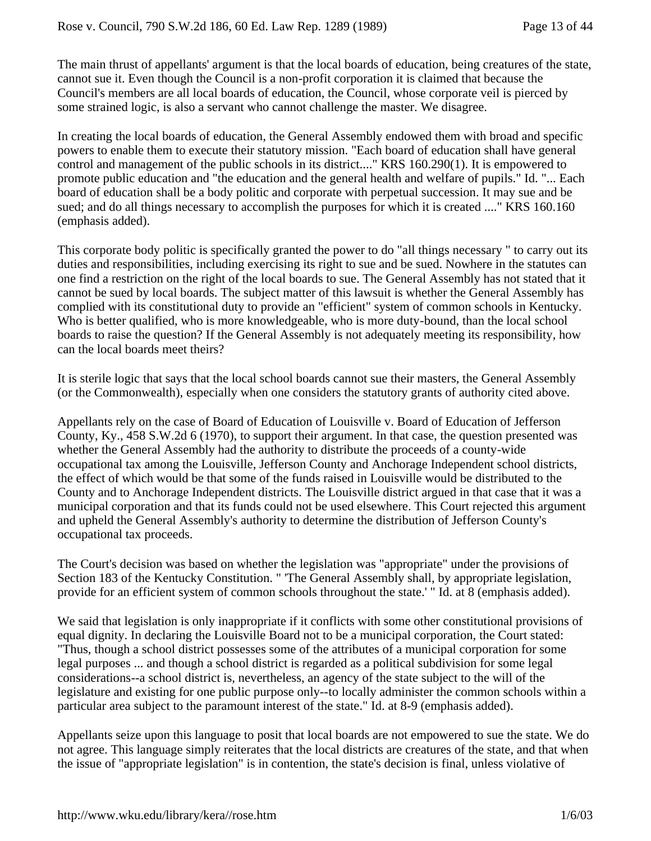The main thrust of appellants' argument is that the local boards of education, being creatures of the state, cannot sue it. Even though the Council is a non-profit corporation it is claimed that because the Council's members are all local boards of education, the Council, whose corporate veil is pierced by some strained logic, is also a servant who cannot challenge the master. We disagree.

In creating the local boards of education, the General Assembly endowed them with broad and specific powers to enable them to execute their statutory mission. "Each board of education shall have general control and management of the public schools in its district...." KRS 160.290(1). It is empowered to promote public education and "the education and the general health and welfare of pupils." Id. "... Each board of education shall be a body politic and corporate with perpetual succession. It may sue and be sued; and do all things necessary to accomplish the purposes for which it is created ...." KRS 160.160 (emphasis added).

This corporate body politic is specifically granted the power to do "all things necessary " to carry out its duties and responsibilities, including exercising its right to sue and be sued. Nowhere in the statutes can one find a restriction on the right of the local boards to sue. The General Assembly has not stated that it cannot be sued by local boards. The subject matter of this lawsuit is whether the General Assembly has complied with its constitutional duty to provide an "efficient" system of common schools in Kentucky. Who is better qualified, who is more knowledgeable, who is more duty-bound, than the local school boards to raise the question? If the General Assembly is not adequately meeting its responsibility, how can the local boards meet theirs?

It is sterile logic that says that the local school boards cannot sue their masters, the General Assembly (or the Commonwealth), especially when one considers the statutory grants of authority cited above.

Appellants rely on the case of Board of Education of Louisville v. Board of Education of Jefferson County, Ky., 458 S.W.2d 6 (1970), to support their argument. In that case, the question presented was whether the General Assembly had the authority to distribute the proceeds of a county-wide occupational tax among the Louisville, Jefferson County and Anchorage Independent school districts, the effect of which would be that some of the funds raised in Louisville would be distributed to the County and to Anchorage Independent districts. The Louisville district argued in that case that it was a municipal corporation and that its funds could not be used elsewhere. This Court rejected this argument and upheld the General Assembly's authority to determine the distribution of Jefferson County's occupational tax proceeds.

The Court's decision was based on whether the legislation was "appropriate" under the provisions of Section 183 of the Kentucky Constitution. " 'The General Assembly shall, by appropriate legislation, provide for an efficient system of common schools throughout the state.' " Id. at 8 (emphasis added).

We said that legislation is only inappropriate if it conflicts with some other constitutional provisions of equal dignity. In declaring the Louisville Board not to be a municipal corporation, the Court stated: "Thus, though a school district possesses some of the attributes of a municipal corporation for some legal purposes ... and though a school district is regarded as a political subdivision for some legal considerations--a school district is, nevertheless, an agency of the state subject to the will of the legislature and existing for one public purpose only--to locally administer the common schools within a particular area subject to the paramount interest of the state." Id. at 8-9 (emphasis added).

Appellants seize upon this language to posit that local boards are not empowered to sue the state. We do not agree. This language simply reiterates that the local districts are creatures of the state, and that when the issue of "appropriate legislation" is in contention, the state's decision is final, unless violative of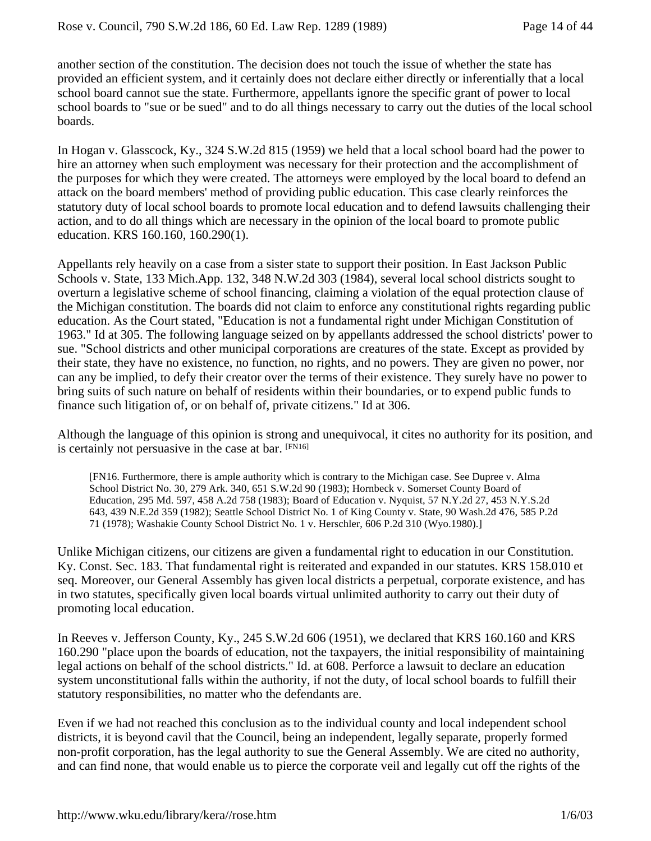another section of the constitution. The decision does not touch the issue of whether the state has provided an efficient system, and it certainly does not declare either directly or inferentially that a local school board cannot sue the state. Furthermore, appellants ignore the specific grant of power to local school boards to "sue or be sued" and to do all things necessary to carry out the duties of the local school boards.

In Hogan v. Glasscock, Ky., 324 S.W.2d 815 (1959) we held that a local school board had the power to hire an attorney when such employment was necessary for their protection and the accomplishment of the purposes for which they were created. The attorneys were employed by the local board to defend an attack on the board members' method of providing public education. This case clearly reinforces the statutory duty of local school boards to promote local education and to defend lawsuits challenging their action, and to do all things which are necessary in the opinion of the local board to promote public education. KRS 160.160, 160.290(1).

Appellants rely heavily on a case from a sister state to support their position. In East Jackson Public Schools v. State, 133 Mich.App. 132, 348 N.W.2d 303 (1984), several local school districts sought to overturn a legislative scheme of school financing, claiming a violation of the equal protection clause of the Michigan constitution. The boards did not claim to enforce any constitutional rights regarding public education. As the Court stated, "Education is not a fundamental right under Michigan Constitution of 1963." Id at 305. The following language seized on by appellants addressed the school districts' power to sue. "School districts and other municipal corporations are creatures of the state. Except as provided by their state, they have no existence, no function, no rights, and no powers. They are given no power, nor can any be implied, to defy their creator over the terms of their existence. They surely have no power to bring suits of such nature on behalf of residents within their boundaries, or to expend public funds to finance such litigation of, or on behalf of, private citizens." Id at 306.

Although the language of this opinion is strong and unequivocal, it cites no authority for its position, and is certainly not persuasive in the case at bar. [FN16]

[FN16. Furthermore, there is ample authority which is contrary to the Michigan case. See Dupree v. Alma School District No. 30, 279 Ark. 340, 651 S.W.2d 90 (1983); Hornbeck v. Somerset County Board of Education, 295 Md. 597, 458 A.2d 758 (1983); Board of Education v. Nyquist, 57 N.Y.2d 27, 453 N.Y.S.2d 643, 439 N.E.2d 359 (1982); Seattle School District No. 1 of King County v. State, 90 Wash.2d 476, 585 P.2d 71 (1978); Washakie County School District No. 1 v. Herschler, 606 P.2d 310 (Wyo.1980).]

Unlike Michigan citizens, our citizens are given a fundamental right to education in our Constitution. Ky. Const. Sec. 183. That fundamental right is reiterated and expanded in our statutes. KRS 158.010 et seq. Moreover, our General Assembly has given local districts a perpetual, corporate existence, and has in two statutes, specifically given local boards virtual unlimited authority to carry out their duty of promoting local education.

In Reeves v. Jefferson County, Ky., 245 S.W.2d 606 (1951), we declared that KRS 160.160 and KRS 160.290 "place upon the boards of education, not the taxpayers, the initial responsibility of maintaining legal actions on behalf of the school districts." Id. at 608. Perforce a lawsuit to declare an education system unconstitutional falls within the authority, if not the duty, of local school boards to fulfill their statutory responsibilities, no matter who the defendants are.

Even if we had not reached this conclusion as to the individual county and local independent school districts, it is beyond cavil that the Council, being an independent, legally separate, properly formed non-profit corporation, has the legal authority to sue the General Assembly. We are cited no authority, and can find none, that would enable us to pierce the corporate veil and legally cut off the rights of the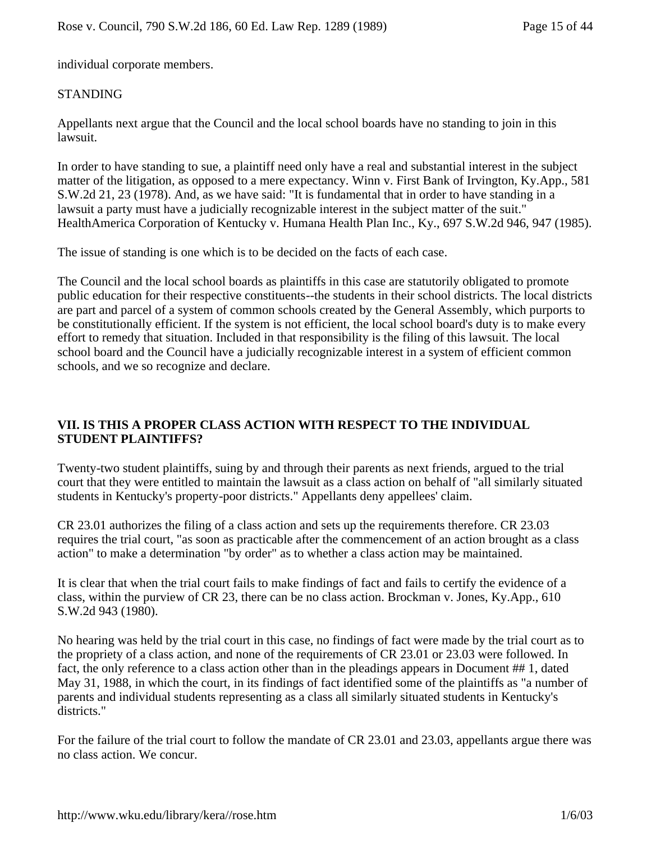individual corporate members.

#### STANDING

Appellants next argue that the Council and the local school boards have no standing to join in this lawsuit.

In order to have standing to sue, a plaintiff need only have a real and substantial interest in the subject matter of the litigation, as opposed to a mere expectancy. Winn v. First Bank of Irvington, Ky.App., 581 S.W.2d 21, 23 (1978). And, as we have said: "It is fundamental that in order to have standing in a lawsuit a party must have a judicially recognizable interest in the subject matter of the suit." HealthAmerica Corporation of Kentucky v. Humana Health Plan Inc., Ky., 697 S.W.2d 946, 947 (1985).

The issue of standing is one which is to be decided on the facts of each case.

The Council and the local school boards as plaintiffs in this case are statutorily obligated to promote public education for their respective constituents--the students in their school districts. The local districts are part and parcel of a system of common schools created by the General Assembly, which purports to be constitutionally efficient. If the system is not efficient, the local school board's duty is to make every effort to remedy that situation. Included in that responsibility is the filing of this lawsuit. The local school board and the Council have a judicially recognizable interest in a system of efficient common schools, and we so recognize and declare.

# **VII. IS THIS A PROPER CLASS ACTION WITH RESPECT TO THE INDIVIDUAL STUDENT PLAINTIFFS?**

Twenty-two student plaintiffs, suing by and through their parents as next friends, argued to the trial court that they were entitled to maintain the lawsuit as a class action on behalf of "all similarly situated students in Kentucky's property-poor districts." Appellants deny appellees' claim.

CR 23.01 authorizes the filing of a class action and sets up the requirements therefore. CR 23.03 requires the trial court, "as soon as practicable after the commencement of an action brought as a class action" to make a determination "by order" as to whether a class action may be maintained.

It is clear that when the trial court fails to make findings of fact and fails to certify the evidence of a class, within the purview of CR 23, there can be no class action. Brockman v. Jones, Ky.App., 610 S.W.2d 943 (1980).

No hearing was held by the trial court in this case, no findings of fact were made by the trial court as to the propriety of a class action, and none of the requirements of CR 23.01 or 23.03 were followed. In fact, the only reference to a class action other than in the pleadings appears in Document ## 1, dated May 31, 1988, in which the court, in its findings of fact identified some of the plaintiffs as "a number of parents and individual students representing as a class all similarly situated students in Kentucky's districts."

For the failure of the trial court to follow the mandate of CR 23.01 and 23.03, appellants argue there was no class action. We concur.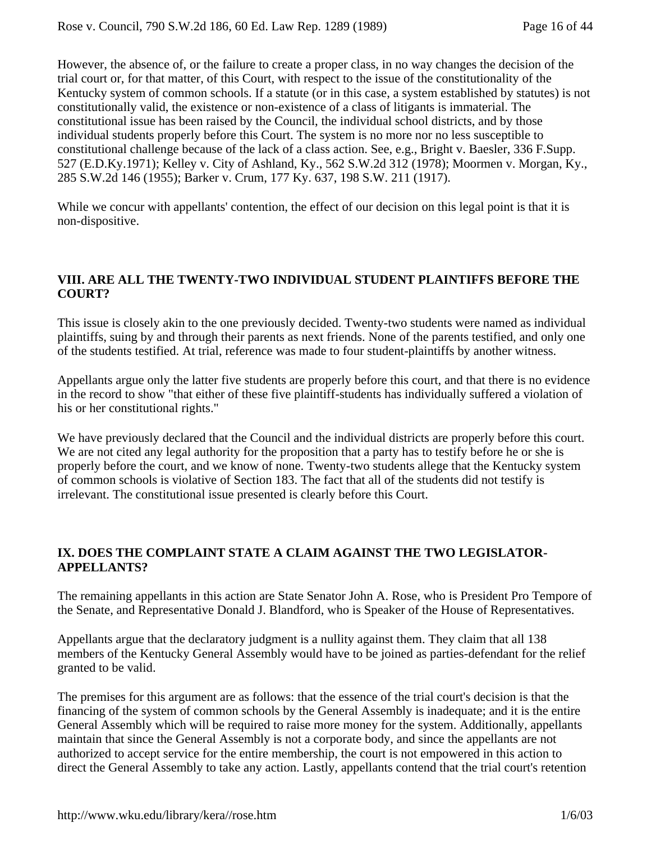However, the absence of, or the failure to create a proper class, in no way changes the decision of the trial court or, for that matter, of this Court, with respect to the issue of the constitutionality of the Kentucky system of common schools. If a statute (or in this case, a system established by statutes) is not constitutionally valid, the existence or non-existence of a class of litigants is immaterial. The constitutional issue has been raised by the Council, the individual school districts, and by those individual students properly before this Court. The system is no more nor no less susceptible to constitutional challenge because of the lack of a class action. See, e.g., Bright v. Baesler, 336 F.Supp. 527 (E.D.Ky.1971); Kelley v. City of Ashland, Ky., 562 S.W.2d 312 (1978); Moormen v. Morgan, Ky., 285 S.W.2d 146 (1955); Barker v. Crum, 177 Ky. 637, 198 S.W. 211 (1917).

While we concur with appellants' contention, the effect of our decision on this legal point is that it is non-dispositive.

#### **VIII. ARE ALL THE TWENTY-TWO INDIVIDUAL STUDENT PLAINTIFFS BEFORE THE COURT?**

This issue is closely akin to the one previously decided. Twenty-two students were named as individual plaintiffs, suing by and through their parents as next friends. None of the parents testified, and only one of the students testified. At trial, reference was made to four student-plaintiffs by another witness.

Appellants argue only the latter five students are properly before this court, and that there is no evidence in the record to show "that either of these five plaintiff-students has individually suffered a violation of his or her constitutional rights."

We have previously declared that the Council and the individual districts are properly before this court. We are not cited any legal authority for the proposition that a party has to testify before he or she is properly before the court, and we know of none. Twenty-two students allege that the Kentucky system of common schools is violative of Section 183. The fact that all of the students did not testify is irrelevant. The constitutional issue presented is clearly before this Court.

# **IX. DOES THE COMPLAINT STATE A CLAIM AGAINST THE TWO LEGISLATOR-APPELLANTS?**

The remaining appellants in this action are State Senator John A. Rose, who is President Pro Tempore of the Senate, and Representative Donald J. Blandford, who is Speaker of the House of Representatives.

Appellants argue that the declaratory judgment is a nullity against them. They claim that all 138 members of the Kentucky General Assembly would have to be joined as parties-defendant for the relief granted to be valid.

The premises for this argument are as follows: that the essence of the trial court's decision is that the financing of the system of common schools by the General Assembly is inadequate; and it is the entire General Assembly which will be required to raise more money for the system. Additionally, appellants maintain that since the General Assembly is not a corporate body, and since the appellants are not authorized to accept service for the entire membership, the court is not empowered in this action to direct the General Assembly to take any action. Lastly, appellants contend that the trial court's retention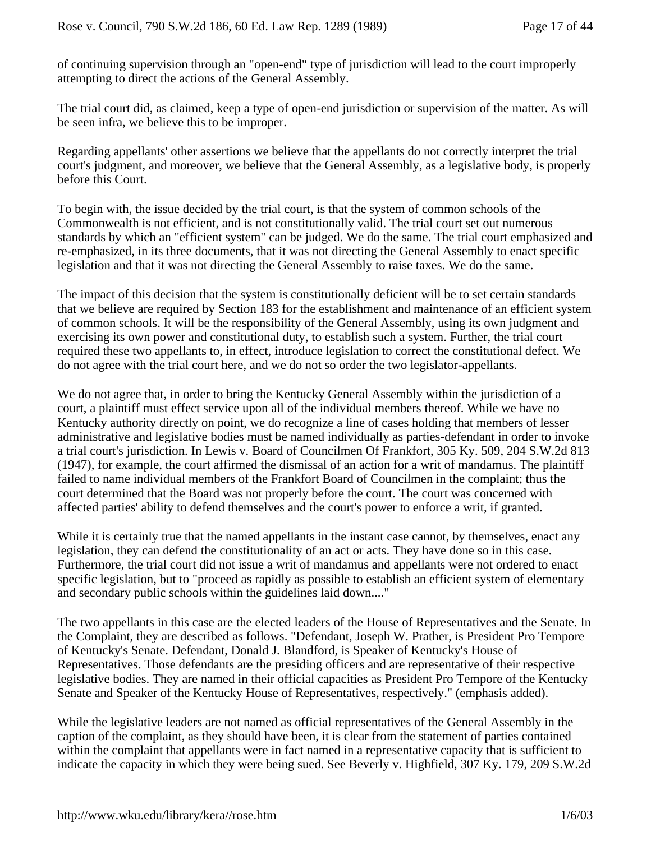of continuing supervision through an "open-end" type of jurisdiction will lead to the court improperly attempting to direct the actions of the General Assembly.

The trial court did, as claimed, keep a type of open-end jurisdiction or supervision of the matter. As will be seen infra, we believe this to be improper.

Regarding appellants' other assertions we believe that the appellants do not correctly interpret the trial court's judgment, and moreover, we believe that the General Assembly, as a legislative body, is properly before this Court.

To begin with, the issue decided by the trial court, is that the system of common schools of the Commonwealth is not efficient, and is not constitutionally valid. The trial court set out numerous standards by which an "efficient system" can be judged. We do the same. The trial court emphasized and re-emphasized, in its three documents, that it was not directing the General Assembly to enact specific legislation and that it was not directing the General Assembly to raise taxes. We do the same.

The impact of this decision that the system is constitutionally deficient will be to set certain standards that we believe are required by Section 183 for the establishment and maintenance of an efficient system of common schools. It will be the responsibility of the General Assembly, using its own judgment and exercising its own power and constitutional duty, to establish such a system. Further, the trial court required these two appellants to, in effect, introduce legislation to correct the constitutional defect. We do not agree with the trial court here, and we do not so order the two legislator-appellants.

We do not agree that, in order to bring the Kentucky General Assembly within the jurisdiction of a court, a plaintiff must effect service upon all of the individual members thereof. While we have no Kentucky authority directly on point, we do recognize a line of cases holding that members of lesser administrative and legislative bodies must be named individually as parties-defendant in order to invoke a trial court's jurisdiction. In Lewis v. Board of Councilmen Of Frankfort, 305 Ky. 509, 204 S.W.2d 813 (1947), for example, the court affirmed the dismissal of an action for a writ of mandamus. The plaintiff failed to name individual members of the Frankfort Board of Councilmen in the complaint; thus the court determined that the Board was not properly before the court. The court was concerned with affected parties' ability to defend themselves and the court's power to enforce a writ, if granted.

While it is certainly true that the named appellants in the instant case cannot, by themselves, enact any legislation, they can defend the constitutionality of an act or acts. They have done so in this case. Furthermore, the trial court did not issue a writ of mandamus and appellants were not ordered to enact specific legislation, but to "proceed as rapidly as possible to establish an efficient system of elementary and secondary public schools within the guidelines laid down...."

The two appellants in this case are the elected leaders of the House of Representatives and the Senate. In the Complaint, they are described as follows. "Defendant, Joseph W. Prather, is President Pro Tempore of Kentucky's Senate. Defendant, Donald J. Blandford, is Speaker of Kentucky's House of Representatives. Those defendants are the presiding officers and are representative of their respective legislative bodies. They are named in their official capacities as President Pro Tempore of the Kentucky Senate and Speaker of the Kentucky House of Representatives, respectively." (emphasis added).

While the legislative leaders are not named as official representatives of the General Assembly in the caption of the complaint, as they should have been, it is clear from the statement of parties contained within the complaint that appellants were in fact named in a representative capacity that is sufficient to indicate the capacity in which they were being sued. See Beverly v. Highfield, 307 Ky. 179, 209 S.W.2d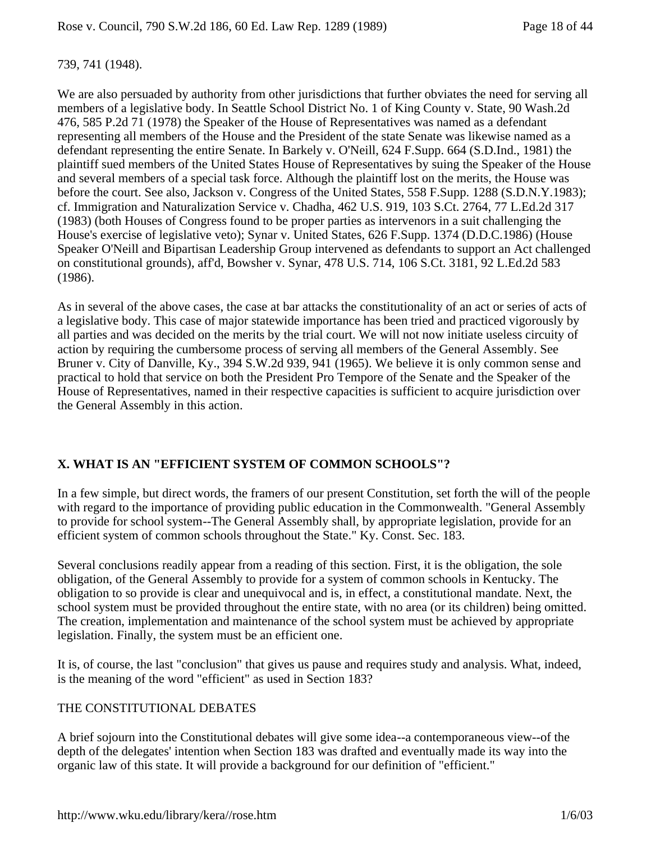## 739, 741 (1948).

We are also persuaded by authority from other jurisdictions that further obviates the need for serving all members of a legislative body. In Seattle School District No. 1 of King County v. State, 90 Wash.2d 476, 585 P.2d 71 (1978) the Speaker of the House of Representatives was named as a defendant representing all members of the House and the President of the state Senate was likewise named as a defendant representing the entire Senate. In Barkely v. O'Neill, 624 F.Supp. 664 (S.D.Ind., 1981) the plaintiff sued members of the United States House of Representatives by suing the Speaker of the House and several members of a special task force. Although the plaintiff lost on the merits, the House was before the court. See also, Jackson v. Congress of the United States, 558 F.Supp. 1288 (S.D.N.Y.1983); cf. Immigration and Naturalization Service v. Chadha, 462 U.S. 919, 103 S.Ct. 2764, 77 L.Ed.2d 317 (1983) (both Houses of Congress found to be proper parties as intervenors in a suit challenging the House's exercise of legislative veto); Synar v. United States, 626 F.Supp. 1374 (D.D.C.1986) (House Speaker O'Neill and Bipartisan Leadership Group intervened as defendants to support an Act challenged on constitutional grounds), aff'd, Bowsher v. Synar, 478 U.S. 714, 106 S.Ct. 3181, 92 L.Ed.2d 583 (1986).

As in several of the above cases, the case at bar attacks the constitutionality of an act or series of acts of a legislative body. This case of major statewide importance has been tried and practiced vigorously by all parties and was decided on the merits by the trial court. We will not now initiate useless circuity of action by requiring the cumbersome process of serving all members of the General Assembly. See Bruner v. City of Danville, Ky., 394 S.W.2d 939, 941 (1965). We believe it is only common sense and practical to hold that service on both the President Pro Tempore of the Senate and the Speaker of the House of Representatives, named in their respective capacities is sufficient to acquire jurisdiction over the General Assembly in this action.

## **X. WHAT IS AN "EFFICIENT SYSTEM OF COMMON SCHOOLS"?**

In a few simple, but direct words, the framers of our present Constitution, set forth the will of the people with regard to the importance of providing public education in the Commonwealth. "General Assembly to provide for school system--The General Assembly shall, by appropriate legislation, provide for an efficient system of common schools throughout the State." Ky. Const. Sec. 183.

Several conclusions readily appear from a reading of this section. First, it is the obligation, the sole obligation, of the General Assembly to provide for a system of common schools in Kentucky. The obligation to so provide is clear and unequivocal and is, in effect, a constitutional mandate. Next, the school system must be provided throughout the entire state, with no area (or its children) being omitted. The creation, implementation and maintenance of the school system must be achieved by appropriate legislation. Finally, the system must be an efficient one.

It is, of course, the last "conclusion" that gives us pause and requires study and analysis. What, indeed, is the meaning of the word "efficient" as used in Section 183?

## THE CONSTITUTIONAL DEBATES

A brief sojourn into the Constitutional debates will give some idea--a contemporaneous view--of the depth of the delegates' intention when Section 183 was drafted and eventually made its way into the organic law of this state. It will provide a background for our definition of "efficient."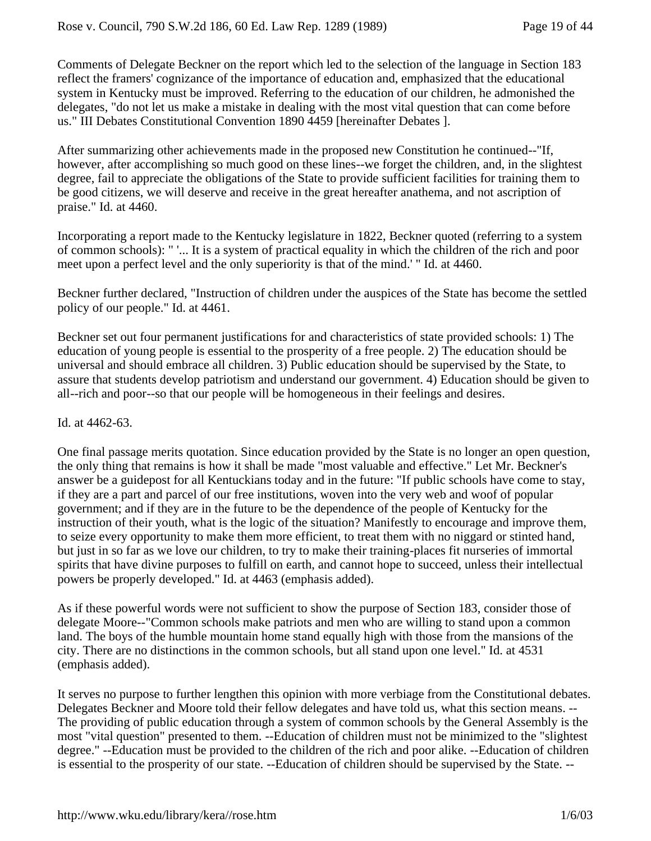Comments of Delegate Beckner on the report which led to the selection of the language in Section 183 reflect the framers' cognizance of the importance of education and, emphasized that the educational system in Kentucky must be improved. Referring to the education of our children, he admonished the delegates, "do not let us make a mistake in dealing with the most vital question that can come before us." III Debates Constitutional Convention 1890 4459 [hereinafter Debates ].

After summarizing other achievements made in the proposed new Constitution he continued--"If, however, after accomplishing so much good on these lines--we forget the children, and, in the slightest degree, fail to appreciate the obligations of the State to provide sufficient facilities for training them to be good citizens, we will deserve and receive in the great hereafter anathema, and not ascription of praise." Id. at 4460.

Incorporating a report made to the Kentucky legislature in 1822, Beckner quoted (referring to a system of common schools): " '... It is a system of practical equality in which the children of the rich and poor meet upon a perfect level and the only superiority is that of the mind.' " Id. at 4460.

Beckner further declared, "Instruction of children under the auspices of the State has become the settled policy of our people." Id. at 4461.

Beckner set out four permanent justifications for and characteristics of state provided schools: 1) The education of young people is essential to the prosperity of a free people. 2) The education should be universal and should embrace all children. 3) Public education should be supervised by the State, to assure that students develop patriotism and understand our government. 4) Education should be given to all--rich and poor--so that our people will be homogeneous in their feelings and desires.

#### Id. at 4462-63.

One final passage merits quotation. Since education provided by the State is no longer an open question, the only thing that remains is how it shall be made "most valuable and effective." Let Mr. Beckner's answer be a guidepost for all Kentuckians today and in the future: "If public schools have come to stay, if they are a part and parcel of our free institutions, woven into the very web and woof of popular government; and if they are in the future to be the dependence of the people of Kentucky for the instruction of their youth, what is the logic of the situation? Manifestly to encourage and improve them, to seize every opportunity to make them more efficient, to treat them with no niggard or stinted hand, but just in so far as we love our children, to try to make their training-places fit nurseries of immortal spirits that have divine purposes to fulfill on earth, and cannot hope to succeed, unless their intellectual powers be properly developed." Id. at 4463 (emphasis added).

As if these powerful words were not sufficient to show the purpose of Section 183, consider those of delegate Moore--"Common schools make patriots and men who are willing to stand upon a common land. The boys of the humble mountain home stand equally high with those from the mansions of the city. There are no distinctions in the common schools, but all stand upon one level." Id. at 4531 (emphasis added).

It serves no purpose to further lengthen this opinion with more verbiage from the Constitutional debates. Delegates Beckner and Moore told their fellow delegates and have told us, what this section means. -- The providing of public education through a system of common schools by the General Assembly is the most "vital question" presented to them. --Education of children must not be minimized to the "slightest degree." --Education must be provided to the children of the rich and poor alike. --Education of children is essential to the prosperity of our state. --Education of children should be supervised by the State. --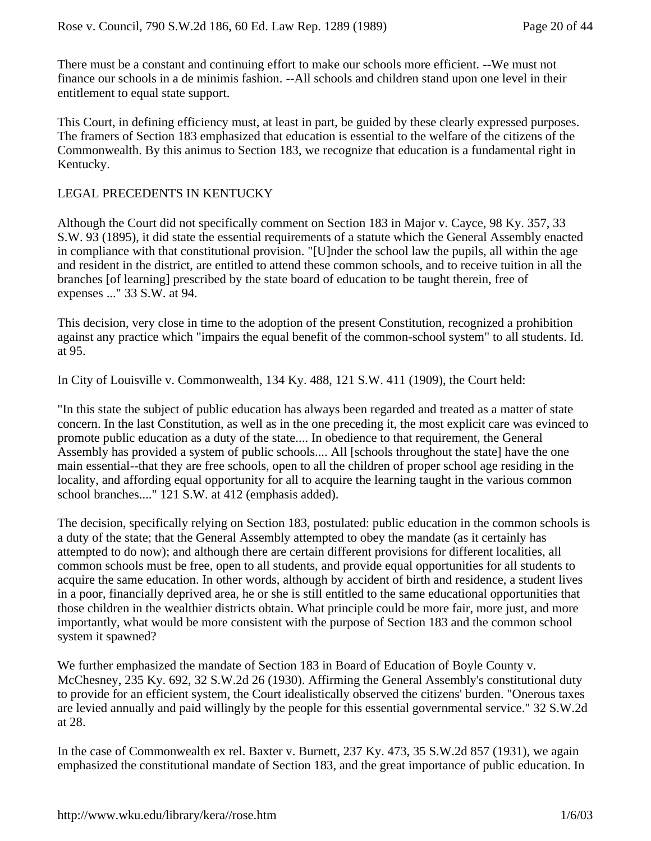There must be a constant and continuing effort to make our schools more efficient. --We must not finance our schools in a de minimis fashion. --All schools and children stand upon one level in their entitlement to equal state support.

This Court, in defining efficiency must, at least in part, be guided by these clearly expressed purposes. The framers of Section 183 emphasized that education is essential to the welfare of the citizens of the Commonwealth. By this animus to Section 183, we recognize that education is a fundamental right in Kentucky.

#### LEGAL PRECEDENTS IN KENTUCKY

Although the Court did not specifically comment on Section 183 in Major v. Cayce, 98 Ky. 357, 33 S.W. 93 (1895), it did state the essential requirements of a statute which the General Assembly enacted in compliance with that constitutional provision. "[U]nder the school law the pupils, all within the age and resident in the district, are entitled to attend these common schools, and to receive tuition in all the branches [of learning] prescribed by the state board of education to be taught therein, free of expenses ..." 33 S.W. at 94.

This decision, very close in time to the adoption of the present Constitution, recognized a prohibition against any practice which "impairs the equal benefit of the common-school system" to all students. Id. at 95.

In City of Louisville v. Commonwealth, 134 Ky. 488, 121 S.W. 411 (1909), the Court held:

"In this state the subject of public education has always been regarded and treated as a matter of state concern. In the last Constitution, as well as in the one preceding it, the most explicit care was evinced to promote public education as a duty of the state.... In obedience to that requirement, the General Assembly has provided a system of public schools.... All [schools throughout the state] have the one main essential--that they are free schools, open to all the children of proper school age residing in the locality, and affording equal opportunity for all to acquire the learning taught in the various common school branches...." 121 S.W. at 412 (emphasis added).

The decision, specifically relying on Section 183, postulated: public education in the common schools is a duty of the state; that the General Assembly attempted to obey the mandate (as it certainly has attempted to do now); and although there are certain different provisions for different localities, all common schools must be free, open to all students, and provide equal opportunities for all students to acquire the same education. In other words, although by accident of birth and residence, a student lives in a poor, financially deprived area, he or she is still entitled to the same educational opportunities that those children in the wealthier districts obtain. What principle could be more fair, more just, and more importantly, what would be more consistent with the purpose of Section 183 and the common school system it spawned?

We further emphasized the mandate of Section 183 in Board of Education of Boyle County v. McChesney, 235 Ky. 692, 32 S.W.2d 26 (1930). Affirming the General Assembly's constitutional duty to provide for an efficient system, the Court idealistically observed the citizens' burden. "Onerous taxes are levied annually and paid willingly by the people for this essential governmental service." 32 S.W.2d at 28.

In the case of Commonwealth ex rel. Baxter v. Burnett, 237 Ky. 473, 35 S.W.2d 857 (1931), we again emphasized the constitutional mandate of Section 183, and the great importance of public education. In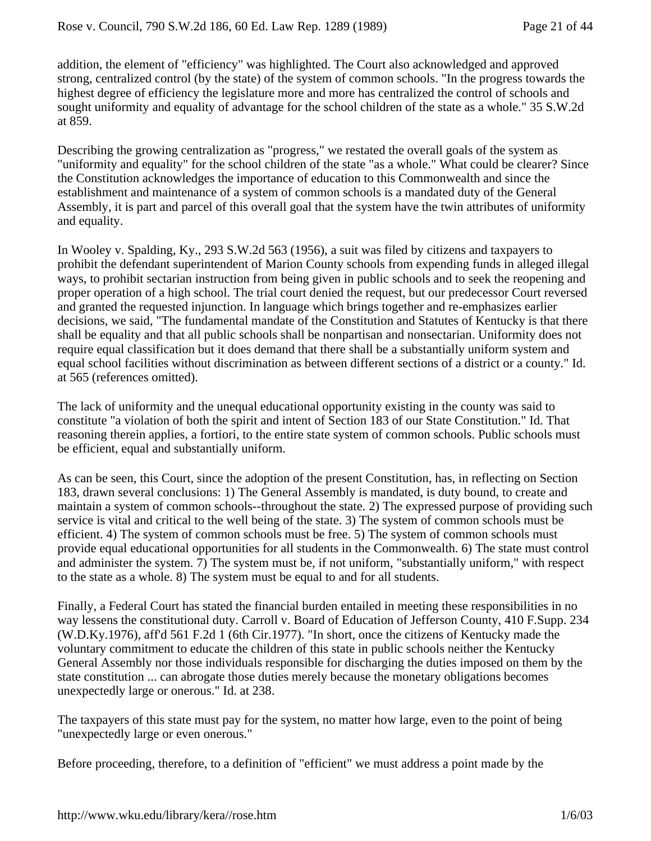addition, the element of "efficiency" was highlighted. The Court also acknowledged and approved strong, centralized control (by the state) of the system of common schools. "In the progress towards the highest degree of efficiency the legislature more and more has centralized the control of schools and sought uniformity and equality of advantage for the school children of the state as a whole." 35 S.W.2d at 859.

Describing the growing centralization as "progress," we restated the overall goals of the system as "uniformity and equality" for the school children of the state "as a whole." What could be clearer? Since the Constitution acknowledges the importance of education to this Commonwealth and since the establishment and maintenance of a system of common schools is a mandated duty of the General Assembly, it is part and parcel of this overall goal that the system have the twin attributes of uniformity and equality.

In Wooley v. Spalding, Ky., 293 S.W.2d 563 (1956), a suit was filed by citizens and taxpayers to prohibit the defendant superintendent of Marion County schools from expending funds in alleged illegal ways, to prohibit sectarian instruction from being given in public schools and to seek the reopening and proper operation of a high school. The trial court denied the request, but our predecessor Court reversed and granted the requested injunction. In language which brings together and re-emphasizes earlier decisions, we said, "The fundamental mandate of the Constitution and Statutes of Kentucky is that there shall be equality and that all public schools shall be nonpartisan and nonsectarian. Uniformity does not require equal classification but it does demand that there shall be a substantially uniform system and equal school facilities without discrimination as between different sections of a district or a county." Id. at 565 (references omitted).

The lack of uniformity and the unequal educational opportunity existing in the county was said to constitute "a violation of both the spirit and intent of Section 183 of our State Constitution." Id. That reasoning therein applies, a fortiori, to the entire state system of common schools. Public schools must be efficient, equal and substantially uniform.

As can be seen, this Court, since the adoption of the present Constitution, has, in reflecting on Section 183, drawn several conclusions: 1) The General Assembly is mandated, is duty bound, to create and maintain a system of common schools--throughout the state. 2) The expressed purpose of providing such service is vital and critical to the well being of the state. 3) The system of common schools must be efficient. 4) The system of common schools must be free. 5) The system of common schools must provide equal educational opportunities for all students in the Commonwealth. 6) The state must control and administer the system. 7) The system must be, if not uniform, "substantially uniform," with respect to the state as a whole. 8) The system must be equal to and for all students.

Finally, a Federal Court has stated the financial burden entailed in meeting these responsibilities in no way lessens the constitutional duty. Carroll v. Board of Education of Jefferson County, 410 F.Supp. 234 (W.D.Ky.1976), aff'd 561 F.2d 1 (6th Cir.1977). "In short, once the citizens of Kentucky made the voluntary commitment to educate the children of this state in public schools neither the Kentucky General Assembly nor those individuals responsible for discharging the duties imposed on them by the state constitution ... can abrogate those duties merely because the monetary obligations becomes unexpectedly large or onerous." Id. at 238.

The taxpayers of this state must pay for the system, no matter how large, even to the point of being "unexpectedly large or even onerous."

Before proceeding, therefore, to a definition of "efficient" we must address a point made by the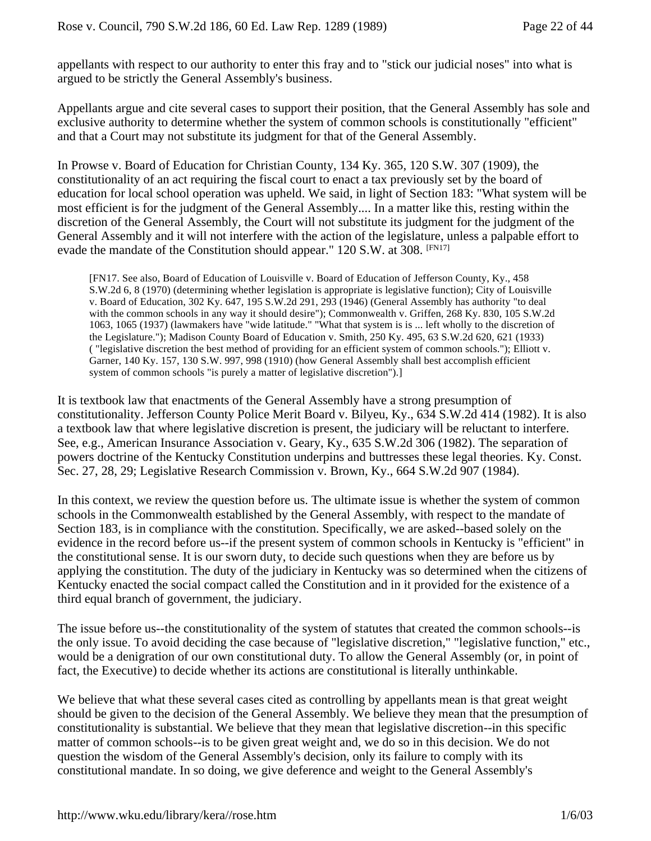appellants with respect to our authority to enter this fray and to "stick our judicial noses" into what is argued to be strictly the General Assembly's business.

Appellants argue and cite several cases to support their position, that the General Assembly has sole and exclusive authority to determine whether the system of common schools is constitutionally "efficient" and that a Court may not substitute its judgment for that of the General Assembly.

In Prowse v. Board of Education for Christian County, 134 Ky. 365, 120 S.W. 307 (1909), the constitutionality of an act requiring the fiscal court to enact a tax previously set by the board of education for local school operation was upheld. We said, in light of Section 183: "What system will be most efficient is for the judgment of the General Assembly.... In a matter like this, resting within the discretion of the General Assembly, the Court will not substitute its judgment for the judgment of the General Assembly and it will not interfere with the action of the legislature, unless a palpable effort to evade the mandate of the Constitution should appear." 120 S.W. at 308. [FN17]

[FN17. See also, Board of Education of Louisville v. Board of Education of Jefferson County, Ky., 458 S.W.2d 6, 8 (1970) (determining whether legislation is appropriate is legislative function); City of Louisville v. Board of Education, 302 Ky. 647, 195 S.W.2d 291, 293 (1946) (General Assembly has authority "to deal with the common schools in any way it should desire"); Commonwealth v. Griffen, 268 Ky. 830, 105 S.W.2d 1063, 1065 (1937) (lawmakers have "wide latitude." "What that system is is ... left wholly to the discretion of the Legislature."); Madison County Board of Education v. Smith, 250 Ky. 495, 63 S.W.2d 620, 621 (1933) ( "legislative discretion the best method of providing for an efficient system of common schools."); Elliott v. Garner, 140 Ky. 157, 130 S.W. 997, 998 (1910) (how General Assembly shall best accomplish efficient system of common schools "is purely a matter of legislative discretion").]

It is textbook law that enactments of the General Assembly have a strong presumption of constitutionality. Jefferson County Police Merit Board v. Bilyeu, Ky., 634 S.W.2d 414 (1982). It is also a textbook law that where legislative discretion is present, the judiciary will be reluctant to interfere. See, e.g., American Insurance Association v. Geary, Ky., 635 S.W.2d 306 (1982). The separation of powers doctrine of the Kentucky Constitution underpins and buttresses these legal theories. Ky. Const. Sec. 27, 28, 29; Legislative Research Commission v. Brown, Ky., 664 S.W.2d 907 (1984).

In this context, we review the question before us. The ultimate issue is whether the system of common schools in the Commonwealth established by the General Assembly, with respect to the mandate of Section 183, is in compliance with the constitution. Specifically, we are asked--based solely on the evidence in the record before us--if the present system of common schools in Kentucky is "efficient" in the constitutional sense. It is our sworn duty, to decide such questions when they are before us by applying the constitution. The duty of the judiciary in Kentucky was so determined when the citizens of Kentucky enacted the social compact called the Constitution and in it provided for the existence of a third equal branch of government, the judiciary.

The issue before us--the constitutionality of the system of statutes that created the common schools--is the only issue. To avoid deciding the case because of "legislative discretion," "legislative function," etc., would be a denigration of our own constitutional duty. To allow the General Assembly (or, in point of fact, the Executive) to decide whether its actions are constitutional is literally unthinkable.

We believe that what these several cases cited as controlling by appellants mean is that great weight should be given to the decision of the General Assembly. We believe they mean that the presumption of constitutionality is substantial. We believe that they mean that legislative discretion--in this specific matter of common schools--is to be given great weight and, we do so in this decision. We do not question the wisdom of the General Assembly's decision, only its failure to comply with its constitutional mandate. In so doing, we give deference and weight to the General Assembly's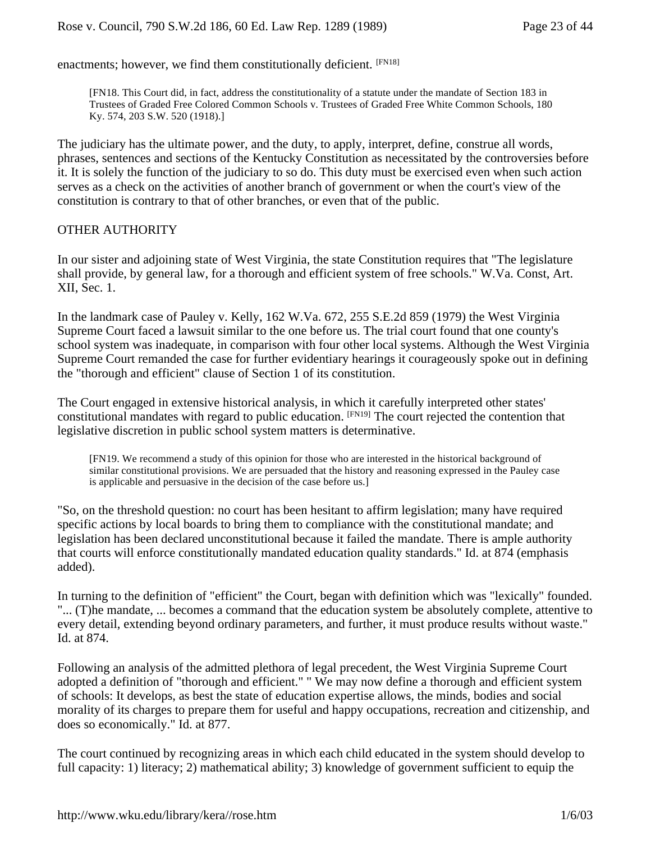enactments; however, we find them constitutionally deficient. [FN18]

[FN18. This Court did, in fact, address the constitutionality of a statute under the mandate of Section 183 in Trustees of Graded Free Colored Common Schools v. Trustees of Graded Free White Common Schools, 180 Ky. 574, 203 S.W. 520 (1918).]

The judiciary has the ultimate power, and the duty, to apply, interpret, define, construe all words, phrases, sentences and sections of the Kentucky Constitution as necessitated by the controversies before it. It is solely the function of the judiciary to so do. This duty must be exercised even when such action serves as a check on the activities of another branch of government or when the court's view of the constitution is contrary to that of other branches, or even that of the public.

#### OTHER AUTHORITY

In our sister and adjoining state of West Virginia, the state Constitution requires that "The legislature shall provide, by general law, for a thorough and efficient system of free schools." W.Va. Const, Art. XII, Sec. 1.

In the landmark case of Pauley v. Kelly, 162 W.Va. 672, 255 S.E.2d 859 (1979) the West Virginia Supreme Court faced a lawsuit similar to the one before us. The trial court found that one county's school system was inadequate, in comparison with four other local systems. Although the West Virginia Supreme Court remanded the case for further evidentiary hearings it courageously spoke out in defining the "thorough and efficient" clause of Section 1 of its constitution.

The Court engaged in extensive historical analysis, in which it carefully interpreted other states' constitutional mandates with regard to public education. [FN19] The court rejected the contention that legislative discretion in public school system matters is determinative.

[FN19. We recommend a study of this opinion for those who are interested in the historical background of similar constitutional provisions. We are persuaded that the history and reasoning expressed in the Pauley case is applicable and persuasive in the decision of the case before us.]

"So, on the threshold question: no court has been hesitant to affirm legislation; many have required specific actions by local boards to bring them to compliance with the constitutional mandate; and legislation has been declared unconstitutional because it failed the mandate. There is ample authority that courts will enforce constitutionally mandated education quality standards." Id. at 874 (emphasis added).

In turning to the definition of "efficient" the Court, began with definition which was "lexically" founded. "... (T)he mandate, ... becomes a command that the education system be absolutely complete, attentive to every detail, extending beyond ordinary parameters, and further, it must produce results without waste." Id. at 874.

Following an analysis of the admitted plethora of legal precedent, the West Virginia Supreme Court adopted a definition of "thorough and efficient." " We may now define a thorough and efficient system of schools: It develops, as best the state of education expertise allows, the minds, bodies and social morality of its charges to prepare them for useful and happy occupations, recreation and citizenship, and does so economically." Id. at 877.

The court continued by recognizing areas in which each child educated in the system should develop to full capacity: 1) literacy; 2) mathematical ability; 3) knowledge of government sufficient to equip the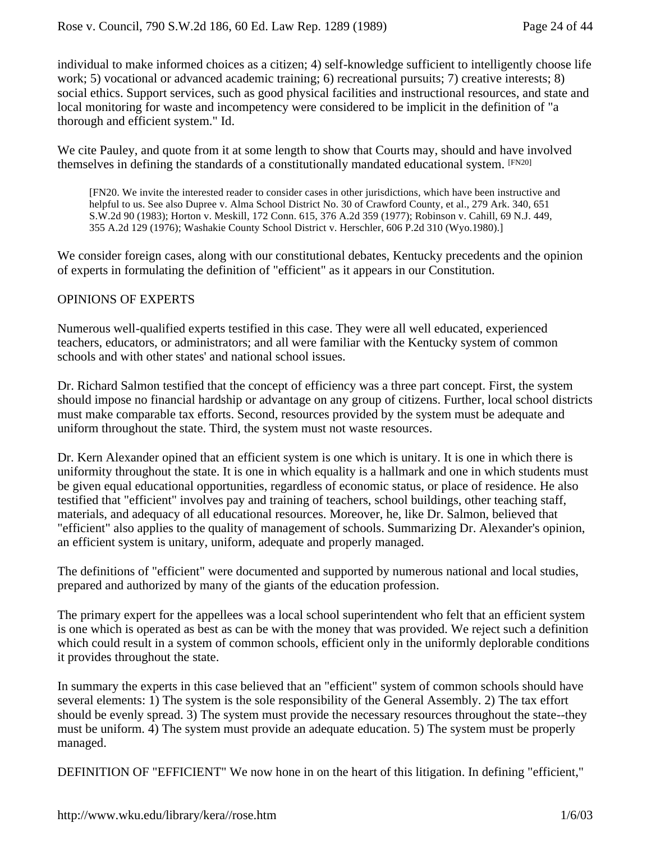individual to make informed choices as a citizen; 4) self-knowledge sufficient to intelligently choose life work; 5) vocational or advanced academic training; 6) recreational pursuits; 7) creative interests; 8) social ethics. Support services, such as good physical facilities and instructional resources, and state and local monitoring for waste and incompetency were considered to be implicit in the definition of "a thorough and efficient system." Id.

We cite Pauley, and quote from it at some length to show that Courts may, should and have involved themselves in defining the standards of a constitutionally mandated educational system. [FN20]

[FN20. We invite the interested reader to consider cases in other jurisdictions, which have been instructive and helpful to us. See also Dupree v. Alma School District No. 30 of Crawford County, et al., 279 Ark. 340, 651 S.W.2d 90 (1983); Horton v. Meskill, 172 Conn. 615, 376 A.2d 359 (1977); Robinson v. Cahill, 69 N.J. 449, 355 A.2d 129 (1976); Washakie County School District v. Herschler, 606 P.2d 310 (Wyo.1980).]

We consider foreign cases, along with our constitutional debates, Kentucky precedents and the opinion of experts in formulating the definition of "efficient" as it appears in our Constitution.

#### OPINIONS OF EXPERTS

Numerous well-qualified experts testified in this case. They were all well educated, experienced teachers, educators, or administrators; and all were familiar with the Kentucky system of common schools and with other states' and national school issues.

Dr. Richard Salmon testified that the concept of efficiency was a three part concept. First, the system should impose no financial hardship or advantage on any group of citizens. Further, local school districts must make comparable tax efforts. Second, resources provided by the system must be adequate and uniform throughout the state. Third, the system must not waste resources.

Dr. Kern Alexander opined that an efficient system is one which is unitary. It is one in which there is uniformity throughout the state. It is one in which equality is a hallmark and one in which students must be given equal educational opportunities, regardless of economic status, or place of residence. He also testified that "efficient" involves pay and training of teachers, school buildings, other teaching staff, materials, and adequacy of all educational resources. Moreover, he, like Dr. Salmon, believed that "efficient" also applies to the quality of management of schools. Summarizing Dr. Alexander's opinion, an efficient system is unitary, uniform, adequate and properly managed.

The definitions of "efficient" were documented and supported by numerous national and local studies, prepared and authorized by many of the giants of the education profession.

The primary expert for the appellees was a local school superintendent who felt that an efficient system is one which is operated as best as can be with the money that was provided. We reject such a definition which could result in a system of common schools, efficient only in the uniformly deplorable conditions it provides throughout the state.

In summary the experts in this case believed that an "efficient" system of common schools should have several elements: 1) The system is the sole responsibility of the General Assembly. 2) The tax effort should be evenly spread. 3) The system must provide the necessary resources throughout the state--they must be uniform. 4) The system must provide an adequate education. 5) The system must be properly managed.

DEFINITION OF "EFFICIENT" We now hone in on the heart of this litigation. In defining "efficient,"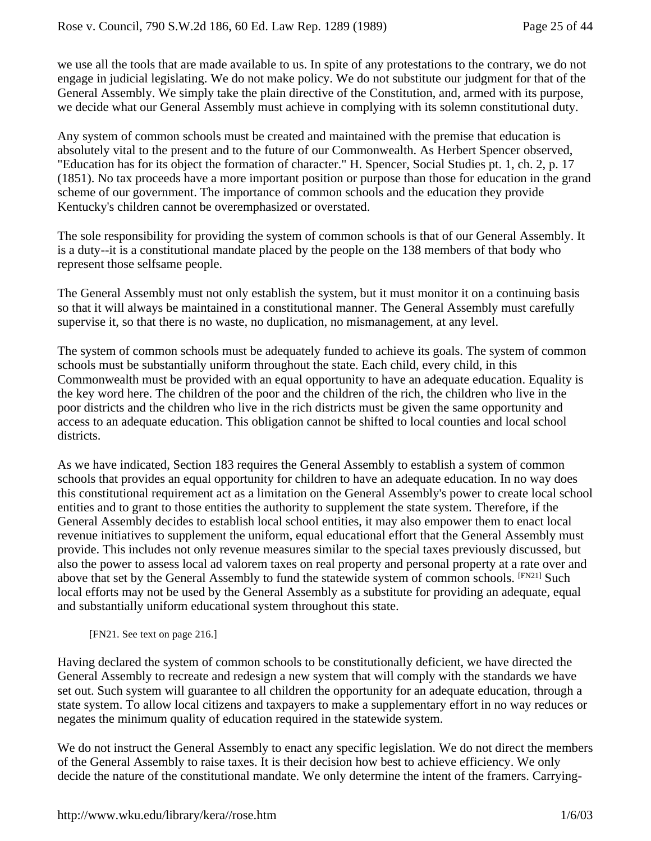we use all the tools that are made available to us. In spite of any protestations to the contrary, we do not engage in judicial legislating. We do not make policy. We do not substitute our judgment for that of the General Assembly. We simply take the plain directive of the Constitution, and, armed with its purpose, we decide what our General Assembly must achieve in complying with its solemn constitutional duty.

Any system of common schools must be created and maintained with the premise that education is absolutely vital to the present and to the future of our Commonwealth. As Herbert Spencer observed, "Education has for its object the formation of character." H. Spencer, Social Studies pt. 1, ch. 2, p. 17 (1851). No tax proceeds have a more important position or purpose than those for education in the grand scheme of our government. The importance of common schools and the education they provide Kentucky's children cannot be overemphasized or overstated.

The sole responsibility for providing the system of common schools is that of our General Assembly. It is a duty--it is a constitutional mandate placed by the people on the 138 members of that body who represent those selfsame people.

The General Assembly must not only establish the system, but it must monitor it on a continuing basis so that it will always be maintained in a constitutional manner. The General Assembly must carefully supervise it, so that there is no waste, no duplication, no mismanagement, at any level.

The system of common schools must be adequately funded to achieve its goals. The system of common schools must be substantially uniform throughout the state. Each child, every child, in this Commonwealth must be provided with an equal opportunity to have an adequate education. Equality is the key word here. The children of the poor and the children of the rich, the children who live in the poor districts and the children who live in the rich districts must be given the same opportunity and access to an adequate education. This obligation cannot be shifted to local counties and local school districts.

As we have indicated, Section 183 requires the General Assembly to establish a system of common schools that provides an equal opportunity for children to have an adequate education. In no way does this constitutional requirement act as a limitation on the General Assembly's power to create local school entities and to grant to those entities the authority to supplement the state system. Therefore, if the General Assembly decides to establish local school entities, it may also empower them to enact local revenue initiatives to supplement the uniform, equal educational effort that the General Assembly must provide. This includes not only revenue measures similar to the special taxes previously discussed, but also the power to assess local ad valorem taxes on real property and personal property at a rate over and above that set by the General Assembly to fund the statewide system of common schools. [FN21] Such local efforts may not be used by the General Assembly as a substitute for providing an adequate, equal and substantially uniform educational system throughout this state.

[FN21. See text on page 216.]

Having declared the system of common schools to be constitutionally deficient, we have directed the General Assembly to recreate and redesign a new system that will comply with the standards we have set out. Such system will guarantee to all children the opportunity for an adequate education, through a state system. To allow local citizens and taxpayers to make a supplementary effort in no way reduces or negates the minimum quality of education required in the statewide system.

We do not instruct the General Assembly to enact any specific legislation. We do not direct the members of the General Assembly to raise taxes. It is their decision how best to achieve efficiency. We only decide the nature of the constitutional mandate. We only determine the intent of the framers. Carrying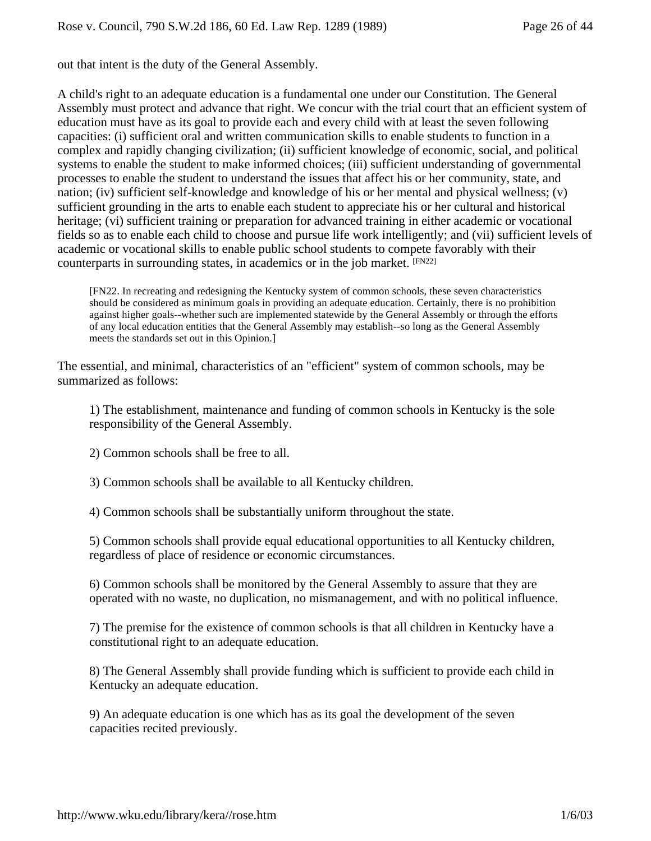out that intent is the duty of the General Assembly.

A child's right to an adequate education is a fundamental one under our Constitution. The General Assembly must protect and advance that right. We concur with the trial court that an efficient system of education must have as its goal to provide each and every child with at least the seven following capacities: (i) sufficient oral and written communication skills to enable students to function in a complex and rapidly changing civilization; (ii) sufficient knowledge of economic, social, and political systems to enable the student to make informed choices; (iii) sufficient understanding of governmental processes to enable the student to understand the issues that affect his or her community, state, and nation; (iv) sufficient self-knowledge and knowledge of his or her mental and physical wellness; (v) sufficient grounding in the arts to enable each student to appreciate his or her cultural and historical heritage; (vi) sufficient training or preparation for advanced training in either academic or vocational fields so as to enable each child to choose and pursue life work intelligently; and (vii) sufficient levels of academic or vocational skills to enable public school students to compete favorably with their counterparts in surrounding states, in academics or in the job market. [FN22]

[FN22. In recreating and redesigning the Kentucky system of common schools, these seven characteristics should be considered as minimum goals in providing an adequate education. Certainly, there is no prohibition against higher goals--whether such are implemented statewide by the General Assembly or through the efforts of any local education entities that the General Assembly may establish--so long as the General Assembly meets the standards set out in this Opinion.]

The essential, and minimal, characteristics of an "efficient" system of common schools, may be summarized as follows:

1) The establishment, maintenance and funding of common schools in Kentucky is the sole responsibility of the General Assembly.

2) Common schools shall be free to all.

3) Common schools shall be available to all Kentucky children.

4) Common schools shall be substantially uniform throughout the state.

5) Common schools shall provide equal educational opportunities to all Kentucky children, regardless of place of residence or economic circumstances.

6) Common schools shall be monitored by the General Assembly to assure that they are operated with no waste, no duplication, no mismanagement, and with no political influence.

7) The premise for the existence of common schools is that all children in Kentucky have a constitutional right to an adequate education.

8) The General Assembly shall provide funding which is sufficient to provide each child in Kentucky an adequate education.

9) An adequate education is one which has as its goal the development of the seven capacities recited previously.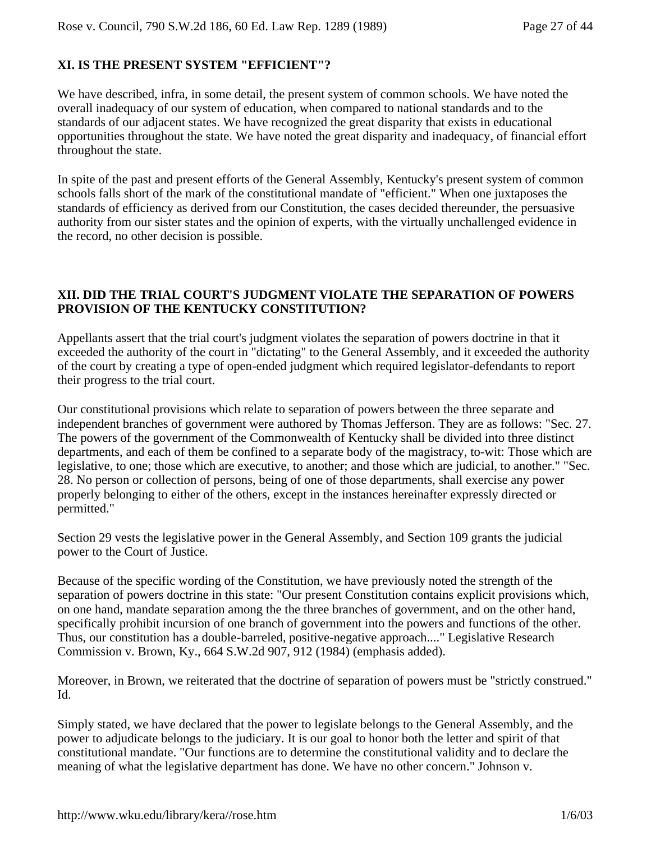# **XI. IS THE PRESENT SYSTEM "EFFICIENT"?**

We have described, infra, in some detail, the present system of common schools. We have noted the overall inadequacy of our system of education, when compared to national standards and to the standards of our adjacent states. We have recognized the great disparity that exists in educational opportunities throughout the state. We have noted the great disparity and inadequacy, of financial effort throughout the state.

In spite of the past and present efforts of the General Assembly, Kentucky's present system of common schools falls short of the mark of the constitutional mandate of "efficient." When one juxtaposes the standards of efficiency as derived from our Constitution, the cases decided thereunder, the persuasive authority from our sister states and the opinion of experts, with the virtually unchallenged evidence in the record, no other decision is possible.

# **XII. DID THE TRIAL COURT'S JUDGMENT VIOLATE THE SEPARATION OF POWERS PROVISION OF THE KENTUCKY CONSTITUTION?**

Appellants assert that the trial court's judgment violates the separation of powers doctrine in that it exceeded the authority of the court in "dictating" to the General Assembly, and it exceeded the authority of the court by creating a type of open-ended judgment which required legislator-defendants to report their progress to the trial court.

Our constitutional provisions which relate to separation of powers between the three separate and independent branches of government were authored by Thomas Jefferson. They are as follows: "Sec. 27. The powers of the government of the Commonwealth of Kentucky shall be divided into three distinct departments, and each of them be confined to a separate body of the magistracy, to-wit: Those which are legislative, to one; those which are executive, to another; and those which are judicial, to another." "Sec. 28. No person or collection of persons, being of one of those departments, shall exercise any power properly belonging to either of the others, except in the instances hereinafter expressly directed or permitted."

Section 29 vests the legislative power in the General Assembly, and Section 109 grants the judicial power to the Court of Justice.

Because of the specific wording of the Constitution, we have previously noted the strength of the separation of powers doctrine in this state: "Our present Constitution contains explicit provisions which, on one hand, mandate separation among the the three branches of government, and on the other hand, specifically prohibit incursion of one branch of government into the powers and functions of the other. Thus, our constitution has a double-barreled, positive-negative approach...." Legislative Research Commission v. Brown, Ky., 664 S.W.2d 907, 912 (1984) (emphasis added).

Moreover, in Brown, we reiterated that the doctrine of separation of powers must be "strictly construed." Id.

Simply stated, we have declared that the power to legislate belongs to the General Assembly, and the power to adjudicate belongs to the judiciary. It is our goal to honor both the letter and spirit of that constitutional mandate. "Our functions are to determine the constitutional validity and to declare the meaning of what the legislative department has done. We have no other concern." Johnson v.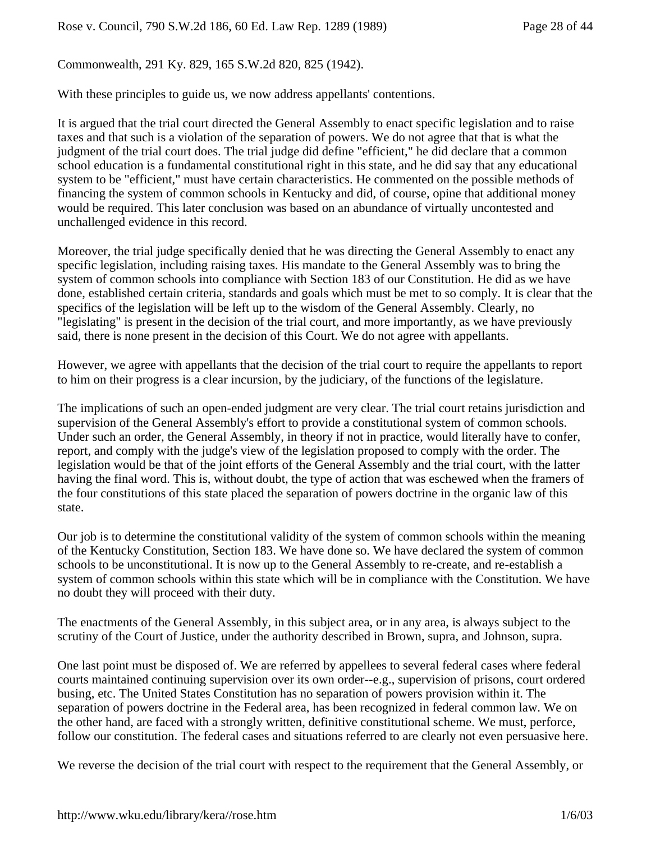Commonwealth, 291 Ky. 829, 165 S.W.2d 820, 825 (1942).

With these principles to guide us, we now address appellants' contentions.

It is argued that the trial court directed the General Assembly to enact specific legislation and to raise taxes and that such is a violation of the separation of powers. We do not agree that that is what the judgment of the trial court does. The trial judge did define "efficient," he did declare that a common school education is a fundamental constitutional right in this state, and he did say that any educational system to be "efficient," must have certain characteristics. He commented on the possible methods of financing the system of common schools in Kentucky and did, of course, opine that additional money would be required. This later conclusion was based on an abundance of virtually uncontested and unchallenged evidence in this record.

Moreover, the trial judge specifically denied that he was directing the General Assembly to enact any specific legislation, including raising taxes. His mandate to the General Assembly was to bring the system of common schools into compliance with Section 183 of our Constitution. He did as we have done, established certain criteria, standards and goals which must be met to so comply. It is clear that the specifics of the legislation will be left up to the wisdom of the General Assembly. Clearly, no "legislating" is present in the decision of the trial court, and more importantly, as we have previously said, there is none present in the decision of this Court. We do not agree with appellants.

However, we agree with appellants that the decision of the trial court to require the appellants to report to him on their progress is a clear incursion, by the judiciary, of the functions of the legislature.

The implications of such an open-ended judgment are very clear. The trial court retains jurisdiction and supervision of the General Assembly's effort to provide a constitutional system of common schools. Under such an order, the General Assembly, in theory if not in practice, would literally have to confer, report, and comply with the judge's view of the legislation proposed to comply with the order. The legislation would be that of the joint efforts of the General Assembly and the trial court, with the latter having the final word. This is, without doubt, the type of action that was eschewed when the framers of the four constitutions of this state placed the separation of powers doctrine in the organic law of this state.

Our job is to determine the constitutional validity of the system of common schools within the meaning of the Kentucky Constitution, Section 183. We have done so. We have declared the system of common schools to be unconstitutional. It is now up to the General Assembly to re-create, and re-establish a system of common schools within this state which will be in compliance with the Constitution. We have no doubt they will proceed with their duty.

The enactments of the General Assembly, in this subject area, or in any area, is always subject to the scrutiny of the Court of Justice, under the authority described in Brown, supra, and Johnson, supra.

One last point must be disposed of. We are referred by appellees to several federal cases where federal courts maintained continuing supervision over its own order--e.g., supervision of prisons, court ordered busing, etc. The United States Constitution has no separation of powers provision within it. The separation of powers doctrine in the Federal area, has been recognized in federal common law. We on the other hand, are faced with a strongly written, definitive constitutional scheme. We must, perforce, follow our constitution. The federal cases and situations referred to are clearly not even persuasive here.

We reverse the decision of the trial court with respect to the requirement that the General Assembly, or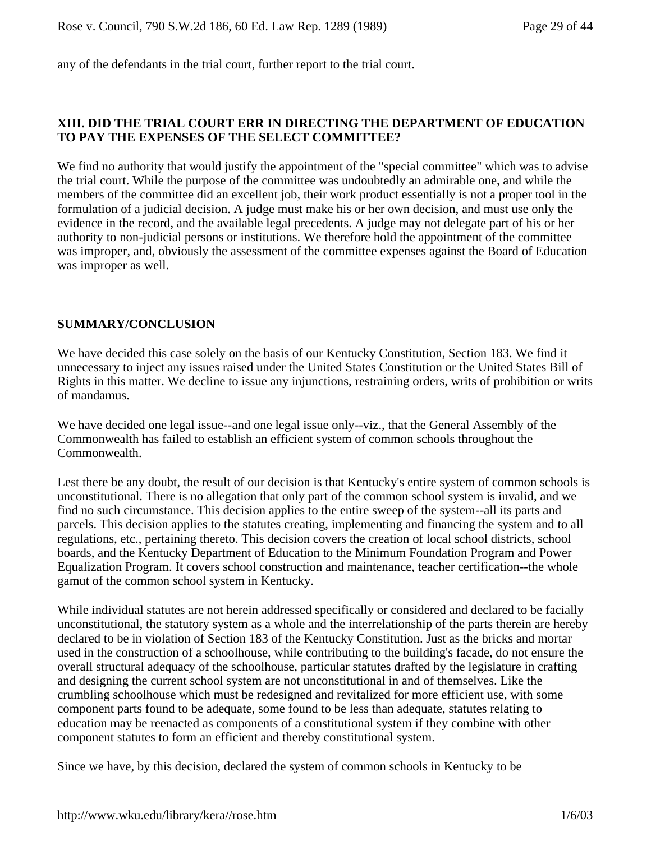any of the defendants in the trial court, further report to the trial court.

# **XIII. DID THE TRIAL COURT ERR IN DIRECTING THE DEPARTMENT OF EDUCATION TO PAY THE EXPENSES OF THE SELECT COMMITTEE?**

We find no authority that would justify the appointment of the "special committee" which was to advise the trial court. While the purpose of the committee was undoubtedly an admirable one, and while the members of the committee did an excellent job, their work product essentially is not a proper tool in the formulation of a judicial decision. A judge must make his or her own decision, and must use only the evidence in the record, and the available legal precedents. A judge may not delegate part of his or her authority to non-judicial persons or institutions. We therefore hold the appointment of the committee was improper, and, obviously the assessment of the committee expenses against the Board of Education was improper as well.

#### **SUMMARY/CONCLUSION**

We have decided this case solely on the basis of our Kentucky Constitution, Section 183. We find it unnecessary to inject any issues raised under the United States Constitution or the United States Bill of Rights in this matter. We decline to issue any injunctions, restraining orders, writs of prohibition or writs of mandamus.

We have decided one legal issue--and one legal issue only--viz., that the General Assembly of the Commonwealth has failed to establish an efficient system of common schools throughout the Commonwealth.

Lest there be any doubt, the result of our decision is that Kentucky's entire system of common schools is unconstitutional. There is no allegation that only part of the common school system is invalid, and we find no such circumstance. This decision applies to the entire sweep of the system--all its parts and parcels. This decision applies to the statutes creating, implementing and financing the system and to all regulations, etc., pertaining thereto. This decision covers the creation of local school districts, school boards, and the Kentucky Department of Education to the Minimum Foundation Program and Power Equalization Program. It covers school construction and maintenance, teacher certification--the whole gamut of the common school system in Kentucky.

While individual statutes are not herein addressed specifically or considered and declared to be facially unconstitutional, the statutory system as a whole and the interrelationship of the parts therein are hereby declared to be in violation of Section 183 of the Kentucky Constitution. Just as the bricks and mortar used in the construction of a schoolhouse, while contributing to the building's facade, do not ensure the overall structural adequacy of the schoolhouse, particular statutes drafted by the legislature in crafting and designing the current school system are not unconstitutional in and of themselves. Like the crumbling schoolhouse which must be redesigned and revitalized for more efficient use, with some component parts found to be adequate, some found to be less than adequate, statutes relating to education may be reenacted as components of a constitutional system if they combine with other component statutes to form an efficient and thereby constitutional system.

Since we have, by this decision, declared the system of common schools in Kentucky to be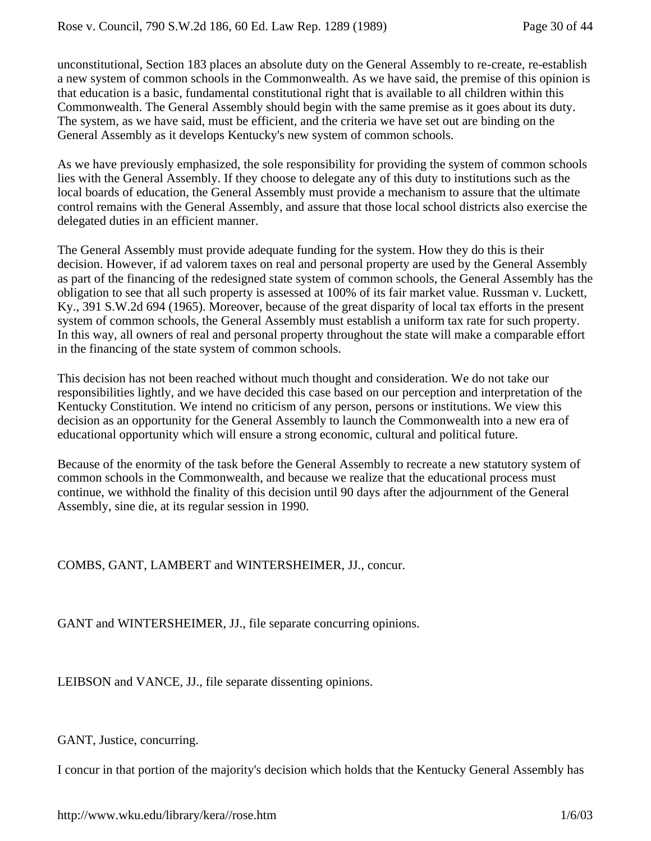unconstitutional, Section 183 places an absolute duty on the General Assembly to re-create, re-establish a new system of common schools in the Commonwealth. As we have said, the premise of this opinion is that education is a basic, fundamental constitutional right that is available to all children within this Commonwealth. The General Assembly should begin with the same premise as it goes about its duty. The system, as we have said, must be efficient, and the criteria we have set out are binding on the General Assembly as it develops Kentucky's new system of common schools.

As we have previously emphasized, the sole responsibility for providing the system of common schools lies with the General Assembly. If they choose to delegate any of this duty to institutions such as the local boards of education, the General Assembly must provide a mechanism to assure that the ultimate control remains with the General Assembly, and assure that those local school districts also exercise the delegated duties in an efficient manner.

The General Assembly must provide adequate funding for the system. How they do this is their decision. However, if ad valorem taxes on real and personal property are used by the General Assembly as part of the financing of the redesigned state system of common schools, the General Assembly has the obligation to see that all such property is assessed at 100% of its fair market value. Russman v. Luckett, Ky., 391 S.W.2d 694 (1965). Moreover, because of the great disparity of local tax efforts in the present system of common schools, the General Assembly must establish a uniform tax rate for such property. In this way, all owners of real and personal property throughout the state will make a comparable effort in the financing of the state system of common schools.

This decision has not been reached without much thought and consideration. We do not take our responsibilities lightly, and we have decided this case based on our perception and interpretation of the Kentucky Constitution. We intend no criticism of any person, persons or institutions. We view this decision as an opportunity for the General Assembly to launch the Commonwealth into a new era of educational opportunity which will ensure a strong economic, cultural and political future.

Because of the enormity of the task before the General Assembly to recreate a new statutory system of common schools in the Commonwealth, and because we realize that the educational process must continue, we withhold the finality of this decision until 90 days after the adjournment of the General Assembly, sine die, at its regular session in 1990.

COMBS, GANT, LAMBERT and WINTERSHEIMER, JJ., concur.

GANT and WINTERSHEIMER, JJ., file separate concurring opinions.

LEIBSON and VANCE, JJ., file separate dissenting opinions.

GANT, Justice, concurring.

I concur in that portion of the majority's decision which holds that the Kentucky General Assembly has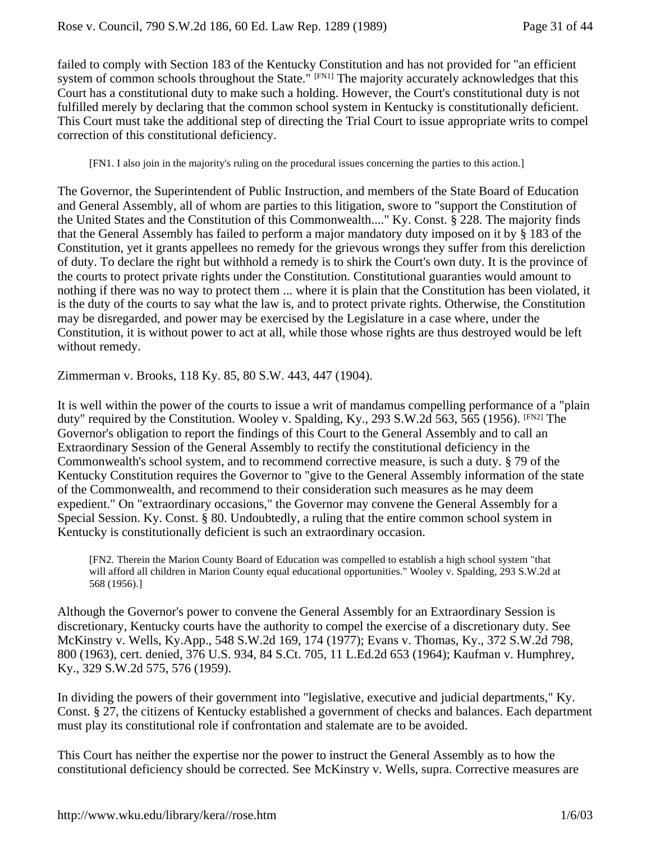failed to comply with Section 183 of the Kentucky Constitution and has not provided for "an efficient system of common schools throughout the State." [FN1] The majority accurately acknowledges that this Court has a constitutional duty to make such a holding. However, the Court's constitutional duty is not fulfilled merely by declaring that the common school system in Kentucky is constitutionally deficient. This Court must take the additional step of directing the Trial Court to issue appropriate writs to compel correction of this constitutional deficiency.

[FN1. I also join in the majority's ruling on the procedural issues concerning the parties to this action.]

The Governor, the Superintendent of Public Instruction, and members of the State Board of Education and General Assembly, all of whom are parties to this litigation, swore to "support the Constitution of the United States and the Constitution of this Commonwealth...." Ky. Const. § 228. The majority finds that the General Assembly has failed to perform a major mandatory duty imposed on it by § 183 of the Constitution, yet it grants appellees no remedy for the grievous wrongs they suffer from this dereliction of duty. To declare the right but withhold a remedy is to shirk the Court's own duty. It is the province of the courts to protect private rights under the Constitution. Constitutional guaranties would amount to nothing if there was no way to protect them ... where it is plain that the Constitution has been violated, it is the duty of the courts to say what the law is, and to protect private rights. Otherwise, the Constitution may be disregarded, and power may be exercised by the Legislature in a case where, under the Constitution, it is without power to act at all, while those whose rights are thus destroyed would be left without remedy.

Zimmerman v. Brooks, 118 Ky. 85, 80 S.W. 443, 447 (1904).

It is well within the power of the courts to issue a writ of mandamus compelling performance of a "plain duty" required by the Constitution. Wooley v. Spalding, Ky., 293 S.W.2d 563, 565 (1956). [FN2] The Governor's obligation to report the findings of this Court to the General Assembly and to call an Extraordinary Session of the General Assembly to rectify the constitutional deficiency in the Commonwealth's school system, and to recommend corrective measure, is such a duty. § 79 of the Kentucky Constitution requires the Governor to "give to the General Assembly information of the state of the Commonwealth, and recommend to their consideration such measures as he may deem expedient." On "extraordinary occasions," the Governor may convene the General Assembly for a Special Session. Ky. Const. § 80. Undoubtedly, a ruling that the entire common school system in Kentucky is constitutionally deficient is such an extraordinary occasion.

[FN2. Therein the Marion County Board of Education was compelled to establish a high school system "that will afford all children in Marion County equal educational opportunities." Wooley v. Spalding, 293 S.W.2d at 568 (1956).]

Although the Governor's power to convene the General Assembly for an Extraordinary Session is discretionary, Kentucky courts have the authority to compel the exercise of a discretionary duty. See McKinstry v. Wells, Ky.App., 548 S.W.2d 169, 174 (1977); Evans v. Thomas, Ky., 372 S.W.2d 798, 800 (1963), cert. denied, 376 U.S. 934, 84 S.Ct. 705, 11 L.Ed.2d 653 (1964); Kaufman v. Humphrey, Ky., 329 S.W.2d 575, 576 (1959).

In dividing the powers of their government into "legislative, executive and judicial departments," Ky. Const. § 27, the citizens of Kentucky established a government of checks and balances. Each department must play its constitutional role if confrontation and stalemate are to be avoided.

This Court has neither the expertise nor the power to instruct the General Assembly as to how the constitutional deficiency should be corrected. See McKinstry v. Wells, supra. Corrective measures are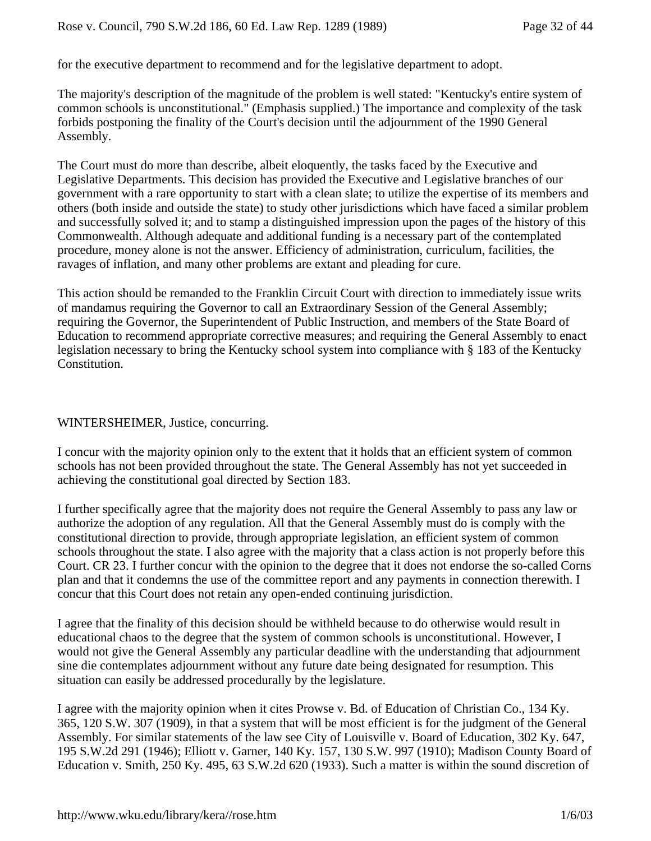for the executive department to recommend and for the legislative department to adopt.

The majority's description of the magnitude of the problem is well stated: "Kentucky's entire system of common schools is unconstitutional." (Emphasis supplied.) The importance and complexity of the task forbids postponing the finality of the Court's decision until the adjournment of the 1990 General Assembly.

The Court must do more than describe, albeit eloquently, the tasks faced by the Executive and Legislative Departments. This decision has provided the Executive and Legislative branches of our government with a rare opportunity to start with a clean slate; to utilize the expertise of its members and others (both inside and outside the state) to study other jurisdictions which have faced a similar problem and successfully solved it; and to stamp a distinguished impression upon the pages of the history of this Commonwealth. Although adequate and additional funding is a necessary part of the contemplated procedure, money alone is not the answer. Efficiency of administration, curriculum, facilities, the ravages of inflation, and many other problems are extant and pleading for cure.

This action should be remanded to the Franklin Circuit Court with direction to immediately issue writs of mandamus requiring the Governor to call an Extraordinary Session of the General Assembly; requiring the Governor, the Superintendent of Public Instruction, and members of the State Board of Education to recommend appropriate corrective measures; and requiring the General Assembly to enact legislation necessary to bring the Kentucky school system into compliance with § 183 of the Kentucky Constitution.

## WINTERSHEIMER, Justice, concurring.

I concur with the majority opinion only to the extent that it holds that an efficient system of common schools has not been provided throughout the state. The General Assembly has not yet succeeded in achieving the constitutional goal directed by Section 183.

I further specifically agree that the majority does not require the General Assembly to pass any law or authorize the adoption of any regulation. All that the General Assembly must do is comply with the constitutional direction to provide, through appropriate legislation, an efficient system of common schools throughout the state. I also agree with the majority that a class action is not properly before this Court. CR 23. I further concur with the opinion to the degree that it does not endorse the so-called Corns plan and that it condemns the use of the committee report and any payments in connection therewith. I concur that this Court does not retain any open-ended continuing jurisdiction.

I agree that the finality of this decision should be withheld because to do otherwise would result in educational chaos to the degree that the system of common schools is unconstitutional. However, I would not give the General Assembly any particular deadline with the understanding that adjournment sine die contemplates adjournment without any future date being designated for resumption. This situation can easily be addressed procedurally by the legislature.

I agree with the majority opinion when it cites Prowse v. Bd. of Education of Christian Co., 134 Ky. 365, 120 S.W. 307 (1909), in that a system that will be most efficient is for the judgment of the General Assembly. For similar statements of the law see City of Louisville v. Board of Education, 302 Ky. 647, 195 S.W.2d 291 (1946); Elliott v. Garner, 140 Ky. 157, 130 S.W. 997 (1910); Madison County Board of Education v. Smith, 250 Ky. 495, 63 S.W.2d 620 (1933). Such a matter is within the sound discretion of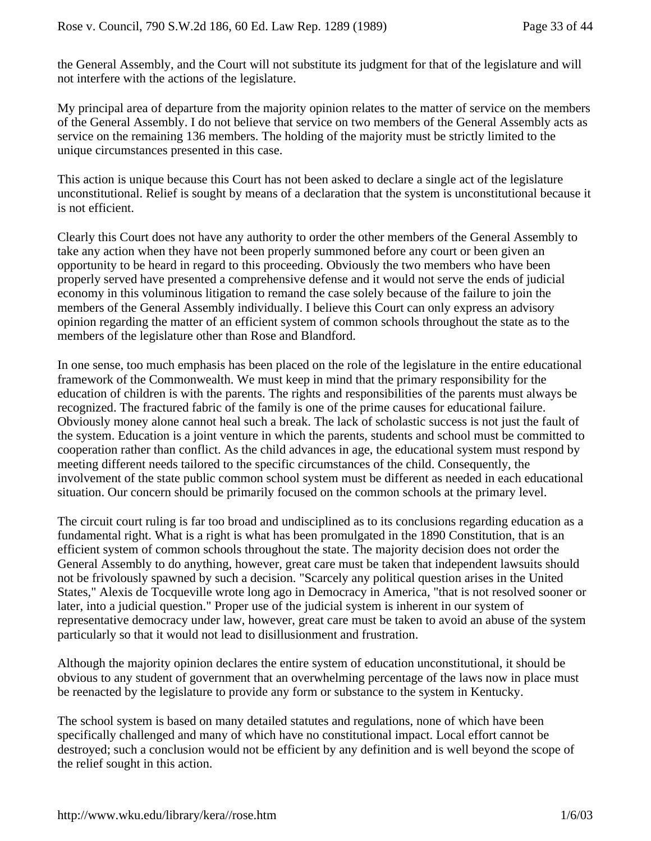the General Assembly, and the Court will not substitute its judgment for that of the legislature and will not interfere with the actions of the legislature.

My principal area of departure from the majority opinion relates to the matter of service on the members of the General Assembly. I do not believe that service on two members of the General Assembly acts as service on the remaining 136 members. The holding of the majority must be strictly limited to the unique circumstances presented in this case.

This action is unique because this Court has not been asked to declare a single act of the legislature unconstitutional. Relief is sought by means of a declaration that the system is unconstitutional because it is not efficient.

Clearly this Court does not have any authority to order the other members of the General Assembly to take any action when they have not been properly summoned before any court or been given an opportunity to be heard in regard to this proceeding. Obviously the two members who have been properly served have presented a comprehensive defense and it would not serve the ends of judicial economy in this voluminous litigation to remand the case solely because of the failure to join the members of the General Assembly individually. I believe this Court can only express an advisory opinion regarding the matter of an efficient system of common schools throughout the state as to the members of the legislature other than Rose and Blandford.

In one sense, too much emphasis has been placed on the role of the legislature in the entire educational framework of the Commonwealth. We must keep in mind that the primary responsibility for the education of children is with the parents. The rights and responsibilities of the parents must always be recognized. The fractured fabric of the family is one of the prime causes for educational failure. Obviously money alone cannot heal such a break. The lack of scholastic success is not just the fault of the system. Education is a joint venture in which the parents, students and school must be committed to cooperation rather than conflict. As the child advances in age, the educational system must respond by meeting different needs tailored to the specific circumstances of the child. Consequently, the involvement of the state public common school system must be different as needed in each educational situation. Our concern should be primarily focused on the common schools at the primary level.

The circuit court ruling is far too broad and undisciplined as to its conclusions regarding education as a fundamental right. What is a right is what has been promulgated in the 1890 Constitution, that is an efficient system of common schools throughout the state. The majority decision does not order the General Assembly to do anything, however, great care must be taken that independent lawsuits should not be frivolously spawned by such a decision. "Scarcely any political question arises in the United States," Alexis de Tocqueville wrote long ago in Democracy in America, "that is not resolved sooner or later, into a judicial question." Proper use of the judicial system is inherent in our system of representative democracy under law, however, great care must be taken to avoid an abuse of the system particularly so that it would not lead to disillusionment and frustration.

Although the majority opinion declares the entire system of education unconstitutional, it should be obvious to any student of government that an overwhelming percentage of the laws now in place must be reenacted by the legislature to provide any form or substance to the system in Kentucky.

The school system is based on many detailed statutes and regulations, none of which have been specifically challenged and many of which have no constitutional impact. Local effort cannot be destroyed; such a conclusion would not be efficient by any definition and is well beyond the scope of the relief sought in this action.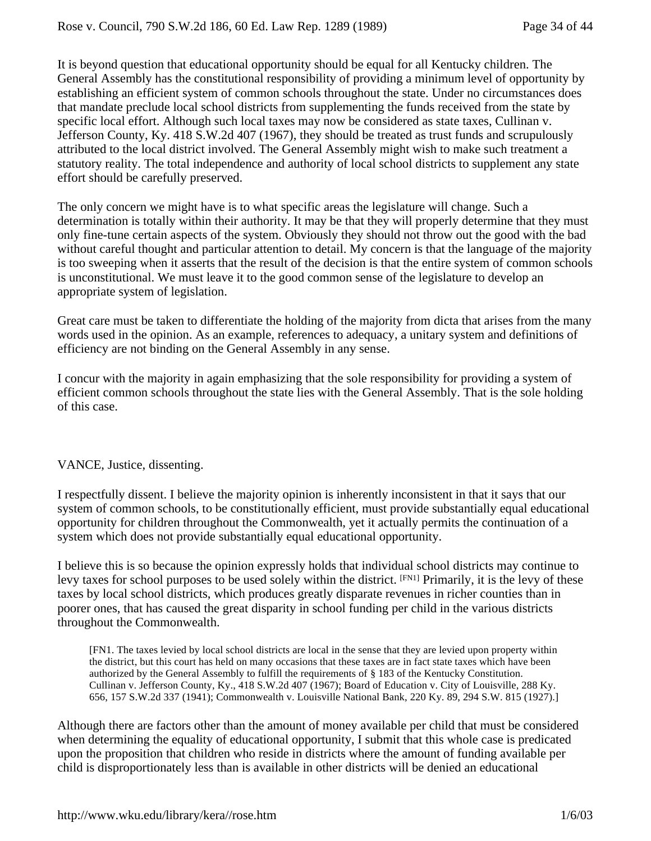It is beyond question that educational opportunity should be equal for all Kentucky children. The General Assembly has the constitutional responsibility of providing a minimum level of opportunity by establishing an efficient system of common schools throughout the state. Under no circumstances does that mandate preclude local school districts from supplementing the funds received from the state by specific local effort. Although such local taxes may now be considered as state taxes, Cullinan v. Jefferson County, Ky. 418 S.W.2d 407 (1967), they should be treated as trust funds and scrupulously attributed to the local district involved. The General Assembly might wish to make such treatment a statutory reality. The total independence and authority of local school districts to supplement any state effort should be carefully preserved.

The only concern we might have is to what specific areas the legislature will change. Such a determination is totally within their authority. It may be that they will properly determine that they must only fine-tune certain aspects of the system. Obviously they should not throw out the good with the bad without careful thought and particular attention to detail. My concern is that the language of the majority is too sweeping when it asserts that the result of the decision is that the entire system of common schools is unconstitutional. We must leave it to the good common sense of the legislature to develop an appropriate system of legislation.

Great care must be taken to differentiate the holding of the majority from dicta that arises from the many words used in the opinion. As an example, references to adequacy, a unitary system and definitions of efficiency are not binding on the General Assembly in any sense.

I concur with the majority in again emphasizing that the sole responsibility for providing a system of efficient common schools throughout the state lies with the General Assembly. That is the sole holding of this case.

## VANCE, Justice, dissenting.

I respectfully dissent. I believe the majority opinion is inherently inconsistent in that it says that our system of common schools, to be constitutionally efficient, must provide substantially equal educational opportunity for children throughout the Commonwealth, yet it actually permits the continuation of a system which does not provide substantially equal educational opportunity.

I believe this is so because the opinion expressly holds that individual school districts may continue to levy taxes for school purposes to be used solely within the district. [FN1] Primarily, it is the levy of these taxes by local school districts, which produces greatly disparate revenues in richer counties than in poorer ones, that has caused the great disparity in school funding per child in the various districts throughout the Commonwealth.

[FN1. The taxes levied by local school districts are local in the sense that they are levied upon property within the district, but this court has held on many occasions that these taxes are in fact state taxes which have been authorized by the General Assembly to fulfill the requirements of § 183 of the Kentucky Constitution. Cullinan v. Jefferson County, Ky., 418 S.W.2d 407 (1967); Board of Education v. City of Louisville, 288 Ky. 656, 157 S.W.2d 337 (1941); Commonwealth v. Louisville National Bank, 220 Ky. 89, 294 S.W. 815 (1927).]

Although there are factors other than the amount of money available per child that must be considered when determining the equality of educational opportunity, I submit that this whole case is predicated upon the proposition that children who reside in districts where the amount of funding available per child is disproportionately less than is available in other districts will be denied an educational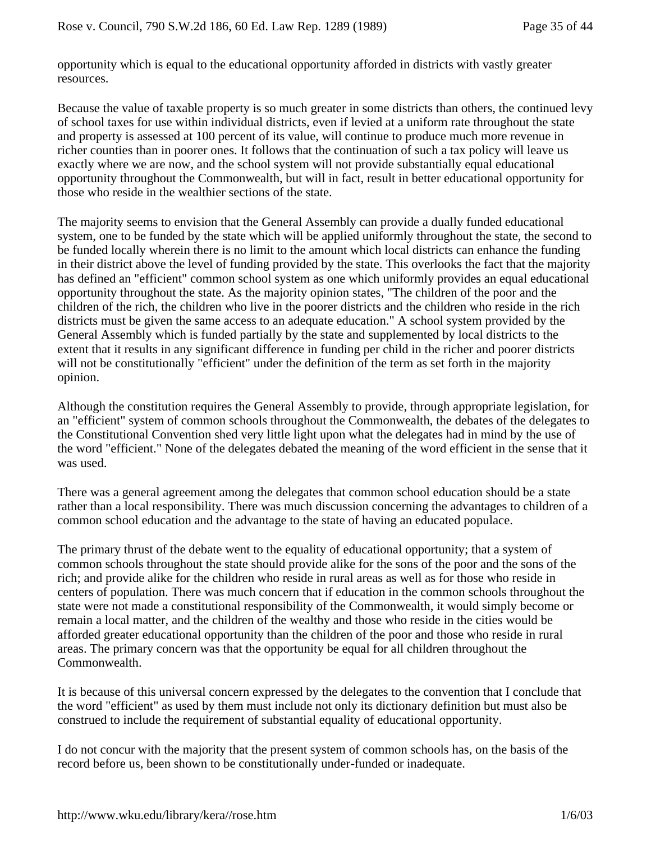opportunity which is equal to the educational opportunity afforded in districts with vastly greater resources.

Because the value of taxable property is so much greater in some districts than others, the continued levy of school taxes for use within individual districts, even if levied at a uniform rate throughout the state and property is assessed at 100 percent of its value, will continue to produce much more revenue in richer counties than in poorer ones. It follows that the continuation of such a tax policy will leave us exactly where we are now, and the school system will not provide substantially equal educational opportunity throughout the Commonwealth, but will in fact, result in better educational opportunity for those who reside in the wealthier sections of the state.

The majority seems to envision that the General Assembly can provide a dually funded educational system, one to be funded by the state which will be applied uniformly throughout the state, the second to be funded locally wherein there is no limit to the amount which local districts can enhance the funding in their district above the level of funding provided by the state. This overlooks the fact that the majority has defined an "efficient" common school system as one which uniformly provides an equal educational opportunity throughout the state. As the majority opinion states, "The children of the poor and the children of the rich, the children who live in the poorer districts and the children who reside in the rich districts must be given the same access to an adequate education." A school system provided by the General Assembly which is funded partially by the state and supplemented by local districts to the extent that it results in any significant difference in funding per child in the richer and poorer districts will not be constitutionally "efficient" under the definition of the term as set forth in the majority opinion.

Although the constitution requires the General Assembly to provide, through appropriate legislation, for an "efficient" system of common schools throughout the Commonwealth, the debates of the delegates to the Constitutional Convention shed very little light upon what the delegates had in mind by the use of the word "efficient." None of the delegates debated the meaning of the word efficient in the sense that it was used.

There was a general agreement among the delegates that common school education should be a state rather than a local responsibility. There was much discussion concerning the advantages to children of a common school education and the advantage to the state of having an educated populace.

The primary thrust of the debate went to the equality of educational opportunity; that a system of common schools throughout the state should provide alike for the sons of the poor and the sons of the rich; and provide alike for the children who reside in rural areas as well as for those who reside in centers of population. There was much concern that if education in the common schools throughout the state were not made a constitutional responsibility of the Commonwealth, it would simply become or remain a local matter, and the children of the wealthy and those who reside in the cities would be afforded greater educational opportunity than the children of the poor and those who reside in rural areas. The primary concern was that the opportunity be equal for all children throughout the Commonwealth.

It is because of this universal concern expressed by the delegates to the convention that I conclude that the word "efficient" as used by them must include not only its dictionary definition but must also be construed to include the requirement of substantial equality of educational opportunity.

I do not concur with the majority that the present system of common schools has, on the basis of the record before us, been shown to be constitutionally under-funded or inadequate.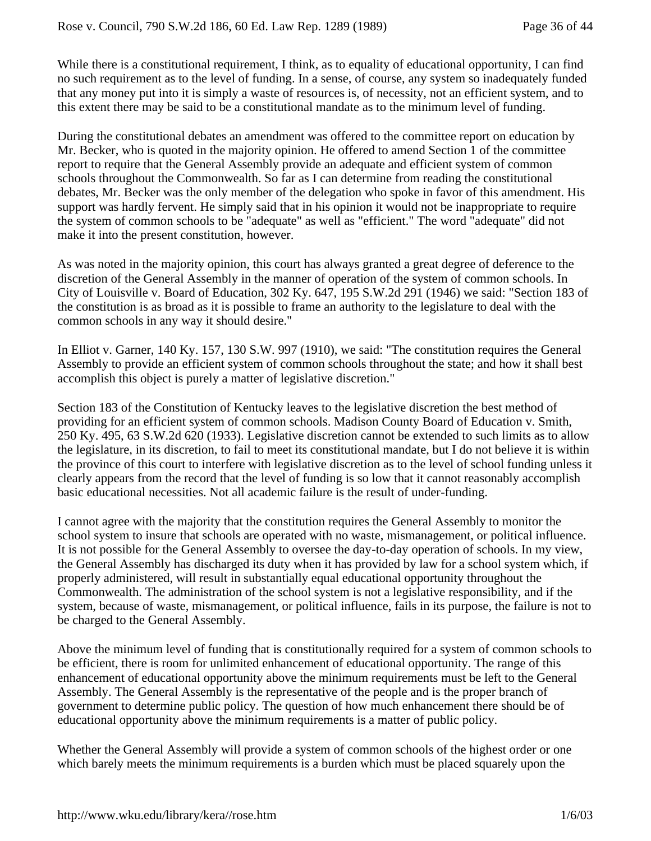While there is a constitutional requirement, I think, as to equality of educational opportunity, I can find no such requirement as to the level of funding. In a sense, of course, any system so inadequately funded that any money put into it is simply a waste of resources is, of necessity, not an efficient system, and to this extent there may be said to be a constitutional mandate as to the minimum level of funding.

During the constitutional debates an amendment was offered to the committee report on education by Mr. Becker, who is quoted in the majority opinion. He offered to amend Section 1 of the committee report to require that the General Assembly provide an adequate and efficient system of common schools throughout the Commonwealth. So far as I can determine from reading the constitutional debates, Mr. Becker was the only member of the delegation who spoke in favor of this amendment. His support was hardly fervent. He simply said that in his opinion it would not be inappropriate to require the system of common schools to be "adequate" as well as "efficient." The word "adequate" did not make it into the present constitution, however.

As was noted in the majority opinion, this court has always granted a great degree of deference to the discretion of the General Assembly in the manner of operation of the system of common schools. In City of Louisville v. Board of Education, 302 Ky. 647, 195 S.W.2d 291 (1946) we said: "Section 183 of the constitution is as broad as it is possible to frame an authority to the legislature to deal with the common schools in any way it should desire."

In Elliot v. Garner, 140 Ky. 157, 130 S.W. 997 (1910), we said: "The constitution requires the General Assembly to provide an efficient system of common schools throughout the state; and how it shall best accomplish this object is purely a matter of legislative discretion."

Section 183 of the Constitution of Kentucky leaves to the legislative discretion the best method of providing for an efficient system of common schools. Madison County Board of Education v. Smith, 250 Ky. 495, 63 S.W.2d 620 (1933). Legislative discretion cannot be extended to such limits as to allow the legislature, in its discretion, to fail to meet its constitutional mandate, but I do not believe it is within the province of this court to interfere with legislative discretion as to the level of school funding unless it clearly appears from the record that the level of funding is so low that it cannot reasonably accomplish basic educational necessities. Not all academic failure is the result of under-funding.

I cannot agree with the majority that the constitution requires the General Assembly to monitor the school system to insure that schools are operated with no waste, mismanagement, or political influence. It is not possible for the General Assembly to oversee the day-to-day operation of schools. In my view, the General Assembly has discharged its duty when it has provided by law for a school system which, if properly administered, will result in substantially equal educational opportunity throughout the Commonwealth. The administration of the school system is not a legislative responsibility, and if the system, because of waste, mismanagement, or political influence, fails in its purpose, the failure is not to be charged to the General Assembly.

Above the minimum level of funding that is constitutionally required for a system of common schools to be efficient, there is room for unlimited enhancement of educational opportunity. The range of this enhancement of educational opportunity above the minimum requirements must be left to the General Assembly. The General Assembly is the representative of the people and is the proper branch of government to determine public policy. The question of how much enhancement there should be of educational opportunity above the minimum requirements is a matter of public policy.

Whether the General Assembly will provide a system of common schools of the highest order or one which barely meets the minimum requirements is a burden which must be placed squarely upon the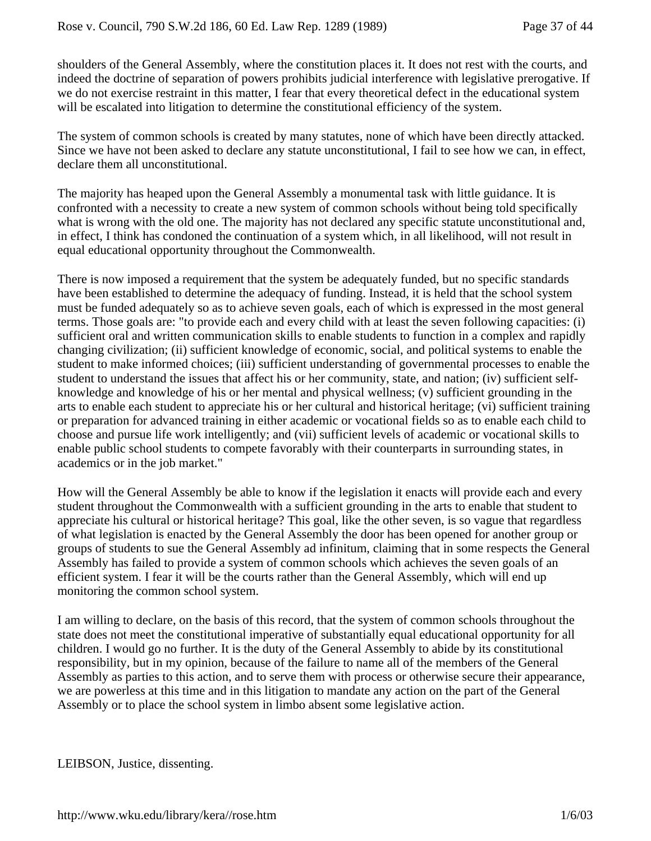shoulders of the General Assembly, where the constitution places it. It does not rest with the courts, and indeed the doctrine of separation of powers prohibits judicial interference with legislative prerogative. If we do not exercise restraint in this matter, I fear that every theoretical defect in the educational system will be escalated into litigation to determine the constitutional efficiency of the system.

The system of common schools is created by many statutes, none of which have been directly attacked. Since we have not been asked to declare any statute unconstitutional, I fail to see how we can, in effect, declare them all unconstitutional.

The majority has heaped upon the General Assembly a monumental task with little guidance. It is confronted with a necessity to create a new system of common schools without being told specifically what is wrong with the old one. The majority has not declared any specific statute unconstitutional and, in effect, I think has condoned the continuation of a system which, in all likelihood, will not result in equal educational opportunity throughout the Commonwealth.

There is now imposed a requirement that the system be adequately funded, but no specific standards have been established to determine the adequacy of funding. Instead, it is held that the school system must be funded adequately so as to achieve seven goals, each of which is expressed in the most general terms. Those goals are: "to provide each and every child with at least the seven following capacities: (i) sufficient oral and written communication skills to enable students to function in a complex and rapidly changing civilization; (ii) sufficient knowledge of economic, social, and political systems to enable the student to make informed choices; (iii) sufficient understanding of governmental processes to enable the student to understand the issues that affect his or her community, state, and nation; (iv) sufficient selfknowledge and knowledge of his or her mental and physical wellness; (v) sufficient grounding in the arts to enable each student to appreciate his or her cultural and historical heritage; (vi) sufficient training or preparation for advanced training in either academic or vocational fields so as to enable each child to choose and pursue life work intelligently; and (vii) sufficient levels of academic or vocational skills to enable public school students to compete favorably with their counterparts in surrounding states, in academics or in the job market."

How will the General Assembly be able to know if the legislation it enacts will provide each and every student throughout the Commonwealth with a sufficient grounding in the arts to enable that student to appreciate his cultural or historical heritage? This goal, like the other seven, is so vague that regardless of what legislation is enacted by the General Assembly the door has been opened for another group or groups of students to sue the General Assembly ad infinitum, claiming that in some respects the General Assembly has failed to provide a system of common schools which achieves the seven goals of an efficient system. I fear it will be the courts rather than the General Assembly, which will end up monitoring the common school system.

I am willing to declare, on the basis of this record, that the system of common schools throughout the state does not meet the constitutional imperative of substantially equal educational opportunity for all children. I would go no further. It is the duty of the General Assembly to abide by its constitutional responsibility, but in my opinion, because of the failure to name all of the members of the General Assembly as parties to this action, and to serve them with process or otherwise secure their appearance, we are powerless at this time and in this litigation to mandate any action on the part of the General Assembly or to place the school system in limbo absent some legislative action.

LEIBSON, Justice, dissenting.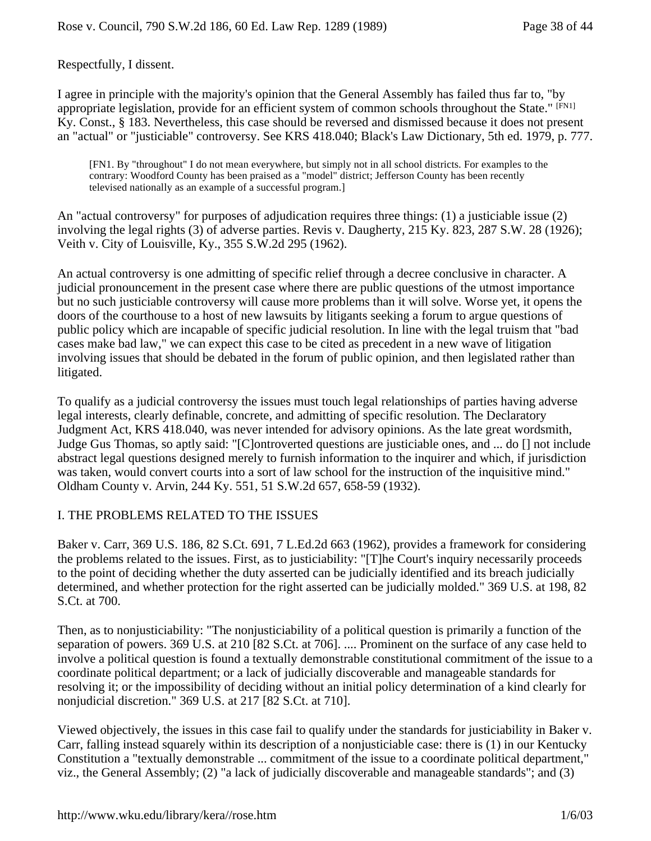Respectfully, I dissent.

I agree in principle with the majority's opinion that the General Assembly has failed thus far to, "by appropriate legislation, provide for an efficient system of common schools throughout the State." [FN1] Ky. Const., § 183. Nevertheless, this case should be reversed and dismissed because it does not present an "actual" or "justiciable" controversy. See KRS 418.040; Black's Law Dictionary, 5th ed. 1979, p. 777.

[FN1. By "throughout" I do not mean everywhere, but simply not in all school districts. For examples to the contrary: Woodford County has been praised as a "model" district; Jefferson County has been recently televised nationally as an example of a successful program.]

An "actual controversy" for purposes of adjudication requires three things: (1) a justiciable issue (2) involving the legal rights (3) of adverse parties. Revis v. Daugherty, 215 Ky. 823, 287 S.W. 28 (1926); Veith v. City of Louisville, Ky., 355 S.W.2d 295 (1962).

An actual controversy is one admitting of specific relief through a decree conclusive in character. A judicial pronouncement in the present case where there are public questions of the utmost importance but no such justiciable controversy will cause more problems than it will solve. Worse yet, it opens the doors of the courthouse to a host of new lawsuits by litigants seeking a forum to argue questions of public policy which are incapable of specific judicial resolution. In line with the legal truism that "bad cases make bad law," we can expect this case to be cited as precedent in a new wave of litigation involving issues that should be debated in the forum of public opinion, and then legislated rather than litigated.

To qualify as a judicial controversy the issues must touch legal relationships of parties having adverse legal interests, clearly definable, concrete, and admitting of specific resolution. The Declaratory Judgment Act, KRS 418.040, was never intended for advisory opinions. As the late great wordsmith, Judge Gus Thomas, so aptly said: "[C]ontroverted questions are justiciable ones, and ... do [] not include abstract legal questions designed merely to furnish information to the inquirer and which, if jurisdiction was taken, would convert courts into a sort of law school for the instruction of the inquisitive mind." Oldham County v. Arvin, 244 Ky. 551, 51 S.W.2d 657, 658-59 (1932).

## I. THE PROBLEMS RELATED TO THE ISSUES

Baker v. Carr, 369 U.S. 186, 82 S.Ct. 691, 7 L.Ed.2d 663 (1962), provides a framework for considering the problems related to the issues. First, as to justiciability: "[T]he Court's inquiry necessarily proceeds to the point of deciding whether the duty asserted can be judicially identified and its breach judicially determined, and whether protection for the right asserted can be judicially molded." 369 U.S. at 198, 82 S.Ct. at 700.

Then, as to nonjusticiability: "The nonjusticiability of a political question is primarily a function of the separation of powers. 369 U.S. at 210 [82 S.Ct. at 706]. .... Prominent on the surface of any case held to involve a political question is found a textually demonstrable constitutional commitment of the issue to a coordinate political department; or a lack of judicially discoverable and manageable standards for resolving it; or the impossibility of deciding without an initial policy determination of a kind clearly for nonjudicial discretion." 369 U.S. at 217 [82 S.Ct. at 710].

Viewed objectively, the issues in this case fail to qualify under the standards for justiciability in Baker v. Carr, falling instead squarely within its description of a nonjusticiable case: there is (1) in our Kentucky Constitution a "textually demonstrable ... commitment of the issue to a coordinate political department," viz., the General Assembly; (2) "a lack of judicially discoverable and manageable standards"; and (3)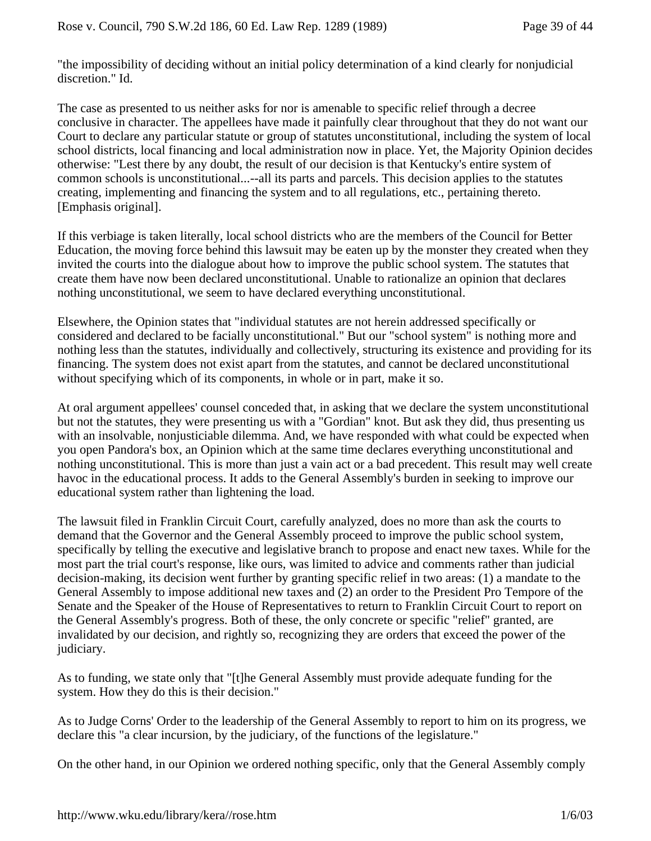"the impossibility of deciding without an initial policy determination of a kind clearly for nonjudicial discretion." Id.

The case as presented to us neither asks for nor is amenable to specific relief through a decree conclusive in character. The appellees have made it painfully clear throughout that they do not want our Court to declare any particular statute or group of statutes unconstitutional, including the system of local school districts, local financing and local administration now in place. Yet, the Majority Opinion decides otherwise: "Lest there by any doubt, the result of our decision is that Kentucky's entire system of common schools is unconstitutional...--all its parts and parcels. This decision applies to the statutes creating, implementing and financing the system and to all regulations, etc., pertaining thereto. [Emphasis original].

If this verbiage is taken literally, local school districts who are the members of the Council for Better Education, the moving force behind this lawsuit may be eaten up by the monster they created when they invited the courts into the dialogue about how to improve the public school system. The statutes that create them have now been declared unconstitutional. Unable to rationalize an opinion that declares nothing unconstitutional, we seem to have declared everything unconstitutional.

Elsewhere, the Opinion states that "individual statutes are not herein addressed specifically or considered and declared to be facially unconstitutional." But our "school system" is nothing more and nothing less than the statutes, individually and collectively, structuring its existence and providing for its financing. The system does not exist apart from the statutes, and cannot be declared unconstitutional without specifying which of its components, in whole or in part, make it so.

At oral argument appellees' counsel conceded that, in asking that we declare the system unconstitutional but not the statutes, they were presenting us with a "Gordian" knot. But ask they did, thus presenting us with an insolvable, nonjusticiable dilemma. And, we have responded with what could be expected when you open Pandora's box, an Opinion which at the same time declares everything unconstitutional and nothing unconstitutional. This is more than just a vain act or a bad precedent. This result may well create havoc in the educational process. It adds to the General Assembly's burden in seeking to improve our educational system rather than lightening the load.

The lawsuit filed in Franklin Circuit Court, carefully analyzed, does no more than ask the courts to demand that the Governor and the General Assembly proceed to improve the public school system, specifically by telling the executive and legislative branch to propose and enact new taxes. While for the most part the trial court's response, like ours, was limited to advice and comments rather than judicial decision-making, its decision went further by granting specific relief in two areas: (1) a mandate to the General Assembly to impose additional new taxes and (2) an order to the President Pro Tempore of the Senate and the Speaker of the House of Representatives to return to Franklin Circuit Court to report on the General Assembly's progress. Both of these, the only concrete or specific "relief" granted, are invalidated by our decision, and rightly so, recognizing they are orders that exceed the power of the judiciary.

As to funding, we state only that "[t]he General Assembly must provide adequate funding for the system. How they do this is their decision."

As to Judge Corns' Order to the leadership of the General Assembly to report to him on its progress, we declare this "a clear incursion, by the judiciary, of the functions of the legislature."

On the other hand, in our Opinion we ordered nothing specific, only that the General Assembly comply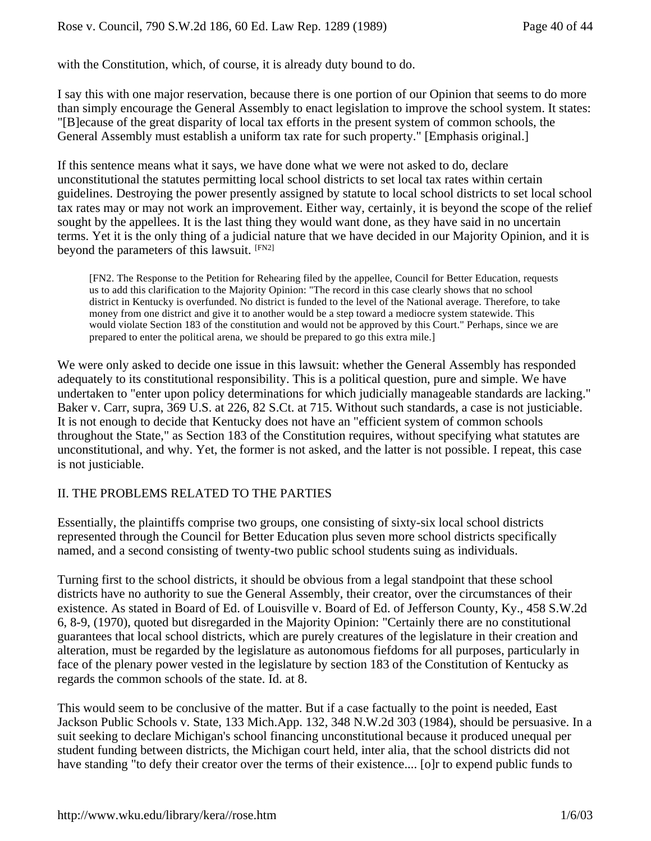with the Constitution, which, of course, it is already duty bound to do.

I say this with one major reservation, because there is one portion of our Opinion that seems to do more than simply encourage the General Assembly to enact legislation to improve the school system. It states: "[B]ecause of the great disparity of local tax efforts in the present system of common schools, the General Assembly must establish a uniform tax rate for such property." [Emphasis original.]

If this sentence means what it says, we have done what we were not asked to do, declare unconstitutional the statutes permitting local school districts to set local tax rates within certain guidelines. Destroying the power presently assigned by statute to local school districts to set local school tax rates may or may not work an improvement. Either way, certainly, it is beyond the scope of the relief sought by the appellees. It is the last thing they would want done, as they have said in no uncertain terms. Yet it is the only thing of a judicial nature that we have decided in our Majority Opinion, and it is beyond the parameters of this lawsuit. [FN2]

[FN2. The Response to the Petition for Rehearing filed by the appellee, Council for Better Education, requests us to add this clarification to the Majority Opinion: "The record in this case clearly shows that no school district in Kentucky is overfunded. No district is funded to the level of the National average. Therefore, to take money from one district and give it to another would be a step toward a mediocre system statewide. This would violate Section 183 of the constitution and would not be approved by this Court." Perhaps, since we are prepared to enter the political arena, we should be prepared to go this extra mile.]

We were only asked to decide one issue in this lawsuit: whether the General Assembly has responded adequately to its constitutional responsibility. This is a political question, pure and simple. We have undertaken to "enter upon policy determinations for which judicially manageable standards are lacking." Baker v. Carr, supra, 369 U.S. at 226, 82 S.Ct. at 715. Without such standards, a case is not justiciable. It is not enough to decide that Kentucky does not have an "efficient system of common schools throughout the State," as Section 183 of the Constitution requires, without specifying what statutes are unconstitutional, and why. Yet, the former is not asked, and the latter is not possible. I repeat, this case is not justiciable.

## II. THE PROBLEMS RELATED TO THE PARTIES

Essentially, the plaintiffs comprise two groups, one consisting of sixty-six local school districts represented through the Council for Better Education plus seven more school districts specifically named, and a second consisting of twenty-two public school students suing as individuals.

Turning first to the school districts, it should be obvious from a legal standpoint that these school districts have no authority to sue the General Assembly, their creator, over the circumstances of their existence. As stated in Board of Ed. of Louisville v. Board of Ed. of Jefferson County, Ky., 458 S.W.2d 6, 8-9, (1970), quoted but disregarded in the Majority Opinion: "Certainly there are no constitutional guarantees that local school districts, which are purely creatures of the legislature in their creation and alteration, must be regarded by the legislature as autonomous fiefdoms for all purposes, particularly in face of the plenary power vested in the legislature by section 183 of the Constitution of Kentucky as regards the common schools of the state. Id. at 8.

This would seem to be conclusive of the matter. But if a case factually to the point is needed, East Jackson Public Schools v. State, 133 Mich.App. 132, 348 N.W.2d 303 (1984), should be persuasive. In a suit seeking to declare Michigan's school financing unconstitutional because it produced unequal per student funding between districts, the Michigan court held, inter alia, that the school districts did not have standing "to defy their creator over the terms of their existence.... [o]r to expend public funds to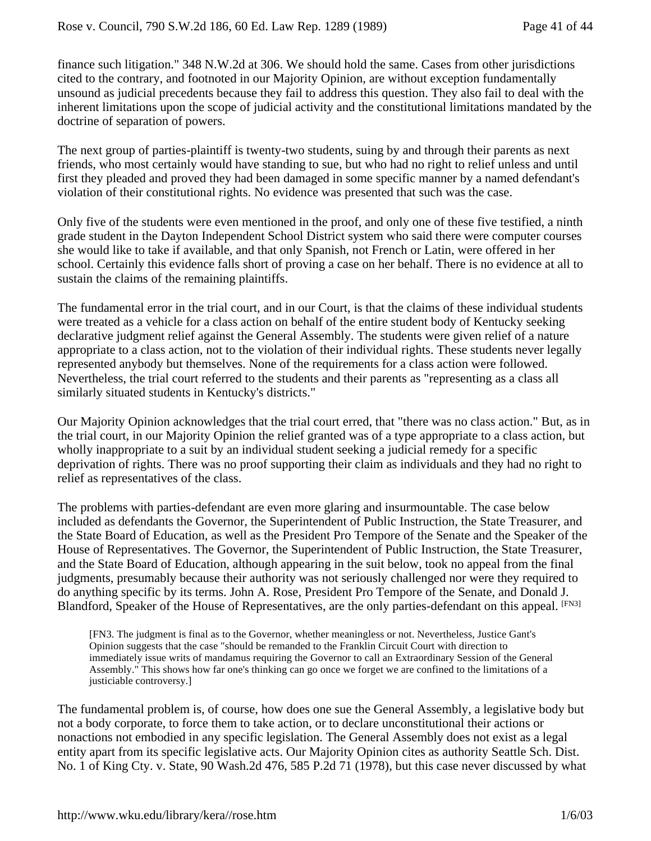finance such litigation." 348 N.W.2d at 306. We should hold the same. Cases from other jurisdictions cited to the contrary, and footnoted in our Majority Opinion, are without exception fundamentally unsound as judicial precedents because they fail to address this question. They also fail to deal with the inherent limitations upon the scope of judicial activity and the constitutional limitations mandated by the doctrine of separation of powers.

The next group of parties-plaintiff is twenty-two students, suing by and through their parents as next friends, who most certainly would have standing to sue, but who had no right to relief unless and until first they pleaded and proved they had been damaged in some specific manner by a named defendant's violation of their constitutional rights. No evidence was presented that such was the case.

Only five of the students were even mentioned in the proof, and only one of these five testified, a ninth grade student in the Dayton Independent School District system who said there were computer courses she would like to take if available, and that only Spanish, not French or Latin, were offered in her school. Certainly this evidence falls short of proving a case on her behalf. There is no evidence at all to sustain the claims of the remaining plaintiffs.

The fundamental error in the trial court, and in our Court, is that the claims of these individual students were treated as a vehicle for a class action on behalf of the entire student body of Kentucky seeking declarative judgment relief against the General Assembly. The students were given relief of a nature appropriate to a class action, not to the violation of their individual rights. These students never legally represented anybody but themselves. None of the requirements for a class action were followed. Nevertheless, the trial court referred to the students and their parents as "representing as a class all similarly situated students in Kentucky's districts."

Our Majority Opinion acknowledges that the trial court erred, that "there was no class action." But, as in the trial court, in our Majority Opinion the relief granted was of a type appropriate to a class action, but wholly inappropriate to a suit by an individual student seeking a judicial remedy for a specific deprivation of rights. There was no proof supporting their claim as individuals and they had no right to relief as representatives of the class.

The problems with parties-defendant are even more glaring and insurmountable. The case below included as defendants the Governor, the Superintendent of Public Instruction, the State Treasurer, and the State Board of Education, as well as the President Pro Tempore of the Senate and the Speaker of the House of Representatives. The Governor, the Superintendent of Public Instruction, the State Treasurer, and the State Board of Education, although appearing in the suit below, took no appeal from the final judgments, presumably because their authority was not seriously challenged nor were they required to do anything specific by its terms. John A. Rose, President Pro Tempore of the Senate, and Donald J. Blandford, Speaker of the House of Representatives, are the only parties-defendant on this appeal. [FN3]

[FN3. The judgment is final as to the Governor, whether meaningless or not. Nevertheless, Justice Gant's Opinion suggests that the case "should be remanded to the Franklin Circuit Court with direction to immediately issue writs of mandamus requiring the Governor to call an Extraordinary Session of the General Assembly." This shows how far one's thinking can go once we forget we are confined to the limitations of a justiciable controversy.]

The fundamental problem is, of course, how does one sue the General Assembly, a legislative body but not a body corporate, to force them to take action, or to declare unconstitutional their actions or nonactions not embodied in any specific legislation. The General Assembly does not exist as a legal entity apart from its specific legislative acts. Our Majority Opinion cites as authority Seattle Sch. Dist. No. 1 of King Cty. v. State, 90 Wash.2d 476, 585 P.2d 71 (1978), but this case never discussed by what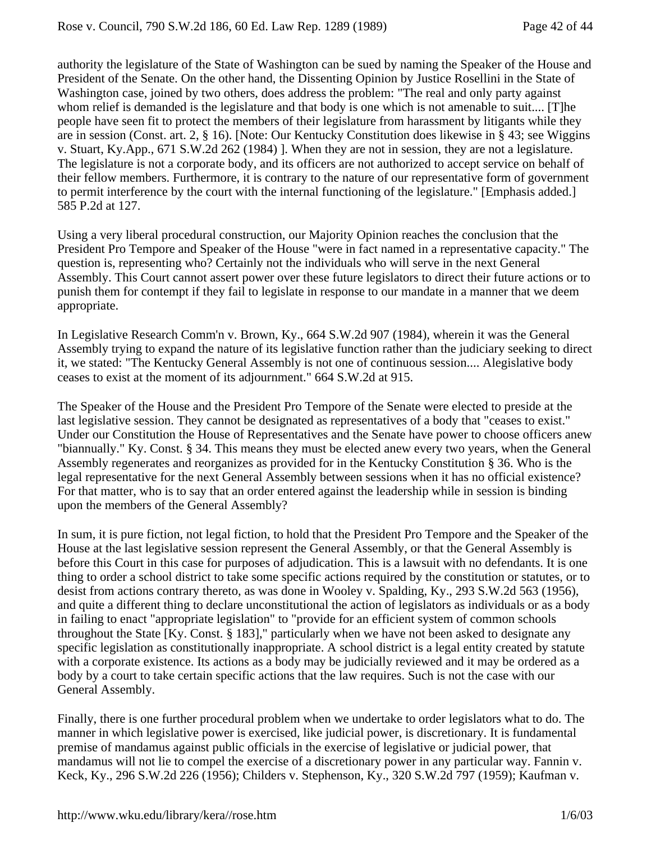authority the legislature of the State of Washington can be sued by naming the Speaker of the House and President of the Senate. On the other hand, the Dissenting Opinion by Justice Rosellini in the State of Washington case, joined by two others, does address the problem: "The real and only party against whom relief is demanded is the legislature and that body is one which is not amenable to suit.... [T]he people have seen fit to protect the members of their legislature from harassment by litigants while they are in session (Const. art. 2, § 16). [Note: Our Kentucky Constitution does likewise in § 43; see Wiggins v. Stuart, Ky.App., 671 S.W.2d 262 (1984) ]. When they are not in session, they are not a legislature. The legislature is not a corporate body, and its officers are not authorized to accept service on behalf of their fellow members. Furthermore, it is contrary to the nature of our representative form of government to permit interference by the court with the internal functioning of the legislature." [Emphasis added.] 585 P.2d at 127.

Using a very liberal procedural construction, our Majority Opinion reaches the conclusion that the President Pro Tempore and Speaker of the House "were in fact named in a representative capacity." The question is, representing who? Certainly not the individuals who will serve in the next General Assembly. This Court cannot assert power over these future legislators to direct their future actions or to punish them for contempt if they fail to legislate in response to our mandate in a manner that we deem appropriate.

In Legislative Research Comm'n v. Brown, Ky., 664 S.W.2d 907 (1984), wherein it was the General Assembly trying to expand the nature of its legislative function rather than the judiciary seeking to direct it, we stated: "The Kentucky General Assembly is not one of continuous session.... Alegislative body ceases to exist at the moment of its adjournment." 664 S.W.2d at 915.

The Speaker of the House and the President Pro Tempore of the Senate were elected to preside at the last legislative session. They cannot be designated as representatives of a body that "ceases to exist." Under our Constitution the House of Representatives and the Senate have power to choose officers anew "biannually." Ky. Const. § 34. This means they must be elected anew every two years, when the General Assembly regenerates and reorganizes as provided for in the Kentucky Constitution § 36. Who is the legal representative for the next General Assembly between sessions when it has no official existence? For that matter, who is to say that an order entered against the leadership while in session is binding upon the members of the General Assembly?

In sum, it is pure fiction, not legal fiction, to hold that the President Pro Tempore and the Speaker of the House at the last legislative session represent the General Assembly, or that the General Assembly is before this Court in this case for purposes of adjudication. This is a lawsuit with no defendants. It is one thing to order a school district to take some specific actions required by the constitution or statutes, or to desist from actions contrary thereto, as was done in Wooley v. Spalding, Ky., 293 S.W.2d 563 (1956), and quite a different thing to declare unconstitutional the action of legislators as individuals or as a body in failing to enact "appropriate legislation" to "provide for an efficient system of common schools throughout the State [Ky. Const. § 183]," particularly when we have not been asked to designate any specific legislation as constitutionally inappropriate. A school district is a legal entity created by statute with a corporate existence. Its actions as a body may be judicially reviewed and it may be ordered as a body by a court to take certain specific actions that the law requires. Such is not the case with our General Assembly.

Finally, there is one further procedural problem when we undertake to order legislators what to do. The manner in which legislative power is exercised, like judicial power, is discretionary. It is fundamental premise of mandamus against public officials in the exercise of legislative or judicial power, that mandamus will not lie to compel the exercise of a discretionary power in any particular way. Fannin v. Keck, Ky., 296 S.W.2d 226 (1956); Childers v. Stephenson, Ky., 320 S.W.2d 797 (1959); Kaufman v.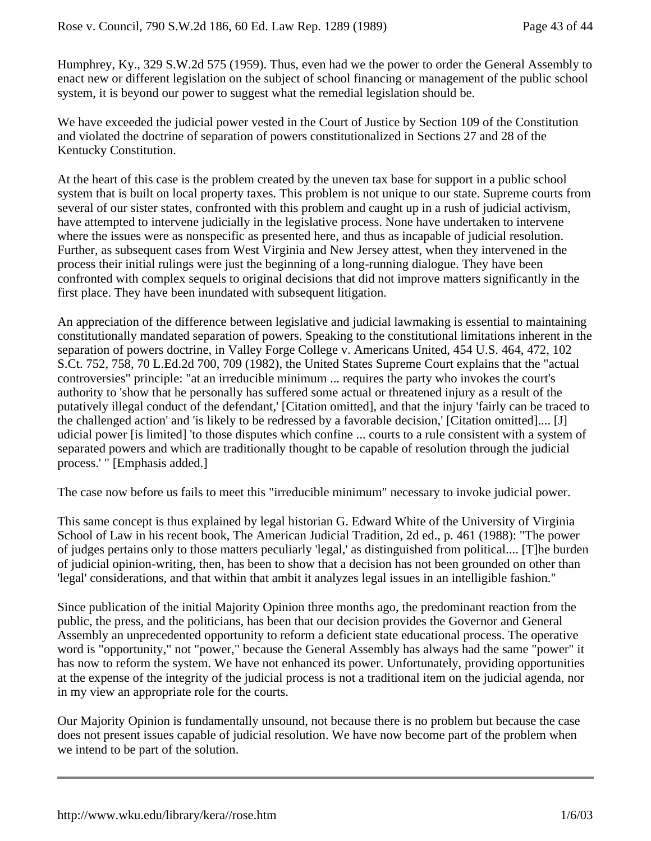Humphrey, Ky., 329 S.W.2d 575 (1959). Thus, even had we the power to order the General Assembly to enact new or different legislation on the subject of school financing or management of the public school system, it is beyond our power to suggest what the remedial legislation should be.

We have exceeded the judicial power vested in the Court of Justice by Section 109 of the Constitution and violated the doctrine of separation of powers constitutionalized in Sections 27 and 28 of the Kentucky Constitution.

At the heart of this case is the problem created by the uneven tax base for support in a public school system that is built on local property taxes. This problem is not unique to our state. Supreme courts from several of our sister states, confronted with this problem and caught up in a rush of judicial activism, have attempted to intervene judicially in the legislative process. None have undertaken to intervene where the issues were as nonspecific as presented here, and thus as incapable of judicial resolution. Further, as subsequent cases from West Virginia and New Jersey attest, when they intervened in the process their initial rulings were just the beginning of a long-running dialogue. They have been confronted with complex sequels to original decisions that did not improve matters significantly in the first place. They have been inundated with subsequent litigation.

An appreciation of the difference between legislative and judicial lawmaking is essential to maintaining constitutionally mandated separation of powers. Speaking to the constitutional limitations inherent in the separation of powers doctrine, in Valley Forge College v. Americans United, 454 U.S. 464, 472, 102 S.Ct. 752, 758, 70 L.Ed.2d 700, 709 (1982), the United States Supreme Court explains that the "actual controversies" principle: "at an irreducible minimum ... requires the party who invokes the court's authority to 'show that he personally has suffered some actual or threatened injury as a result of the putatively illegal conduct of the defendant,' [Citation omitted], and that the injury 'fairly can be traced to the challenged action' and 'is likely to be redressed by a favorable decision,' [Citation omitted].... [J] udicial power [is limited] 'to those disputes which confine ... courts to a rule consistent with a system of separated powers and which are traditionally thought to be capable of resolution through the judicial process.' " [Emphasis added.]

The case now before us fails to meet this "irreducible minimum" necessary to invoke judicial power.

This same concept is thus explained by legal historian G. Edward White of the University of Virginia School of Law in his recent book, The American Judicial Tradition, 2d ed., p. 461 (1988): "The power of judges pertains only to those matters peculiarly 'legal,' as distinguished from political.... [T]he burden of judicial opinion-writing, then, has been to show that a decision has not been grounded on other than 'legal' considerations, and that within that ambit it analyzes legal issues in an intelligible fashion."

Since publication of the initial Majority Opinion three months ago, the predominant reaction from the public, the press, and the politicians, has been that our decision provides the Governor and General Assembly an unprecedented opportunity to reform a deficient state educational process. The operative word is "opportunity," not "power," because the General Assembly has always had the same "power" it has now to reform the system. We have not enhanced its power. Unfortunately, providing opportunities at the expense of the integrity of the judicial process is not a traditional item on the judicial agenda, nor in my view an appropriate role for the courts.

Our Majority Opinion is fundamentally unsound, not because there is no problem but because the case does not present issues capable of judicial resolution. We have now become part of the problem when we intend to be part of the solution.